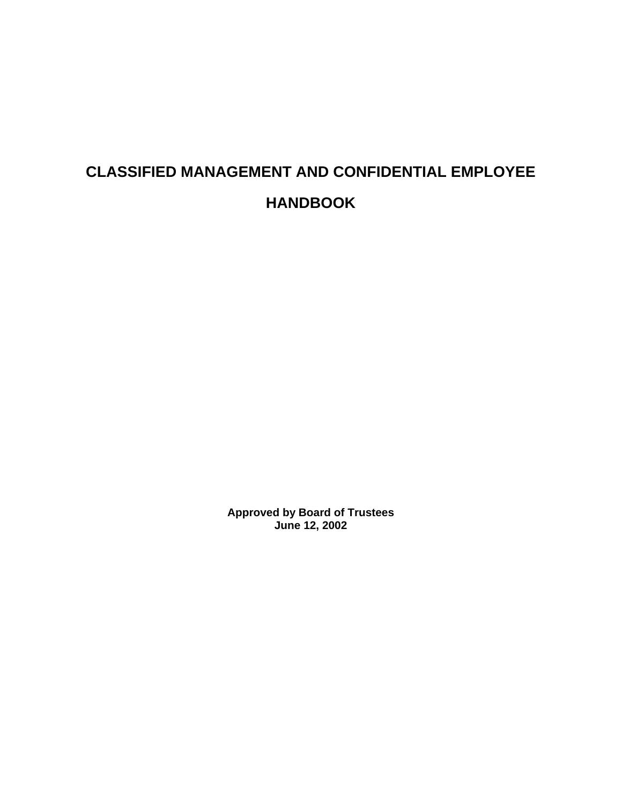# **CLASSIFIED MANAGEMENT AND CONFIDENTIAL EMPLOYEE HANDBOOK**

**Approved by Board of Trustees June 12, 2002**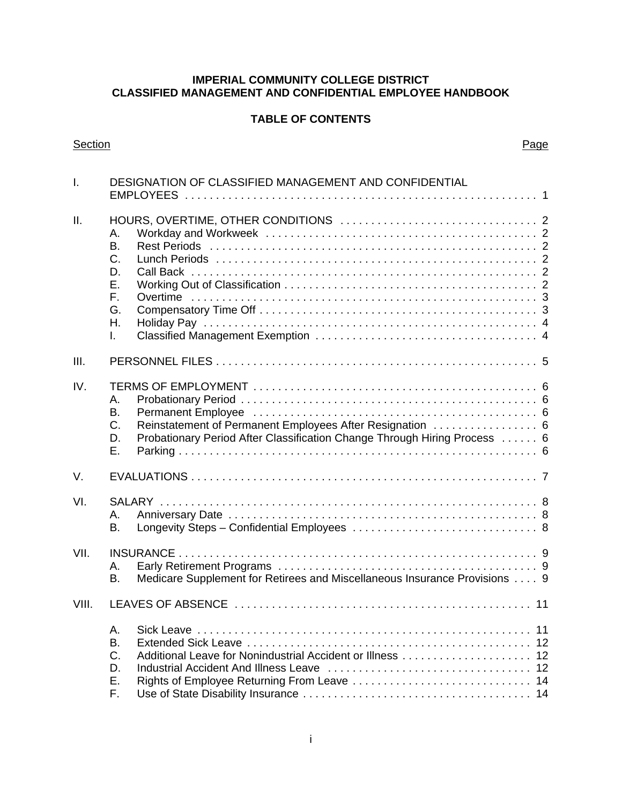#### **IMPERIAL COMMUNITY COLLEGE DISTRICT CLASSIFIED MANAGEMENT AND CONFIDENTIAL EMPLOYEE HANDBOOK**

## **TABLE OF CONTENTS**

#### Section **Page**

| $\mathsf{L}$ | DESIGNATION OF CLASSIFIED MANAGEMENT AND CONFIDENTIAL                                                                                                                |  |  |  |  |
|--------------|----------------------------------------------------------------------------------------------------------------------------------------------------------------------|--|--|--|--|
| ΙΙ.          | А.<br>B.<br>C.<br>D.<br>Ε.<br>F.<br>G.<br>Η.<br>L.                                                                                                                   |  |  |  |  |
| III.         |                                                                                                                                                                      |  |  |  |  |
| IV.          | Α.<br>В.<br>Reinstatement of Permanent Employees After Resignation  6<br>C.<br>Probationary Period After Classification Change Through Hiring Process  6<br>D.<br>Ε. |  |  |  |  |
| V.           |                                                                                                                                                                      |  |  |  |  |
| VI.          | А.<br>В.                                                                                                                                                             |  |  |  |  |
| VII.         | А.<br>Medicare Supplement for Retirees and Miscellaneous Insurance Provisions  9<br><b>B.</b>                                                                        |  |  |  |  |
| VIII.        |                                                                                                                                                                      |  |  |  |  |
|              | A.<br>B.<br>C.<br>D.<br>Ε.<br>F.                                                                                                                                     |  |  |  |  |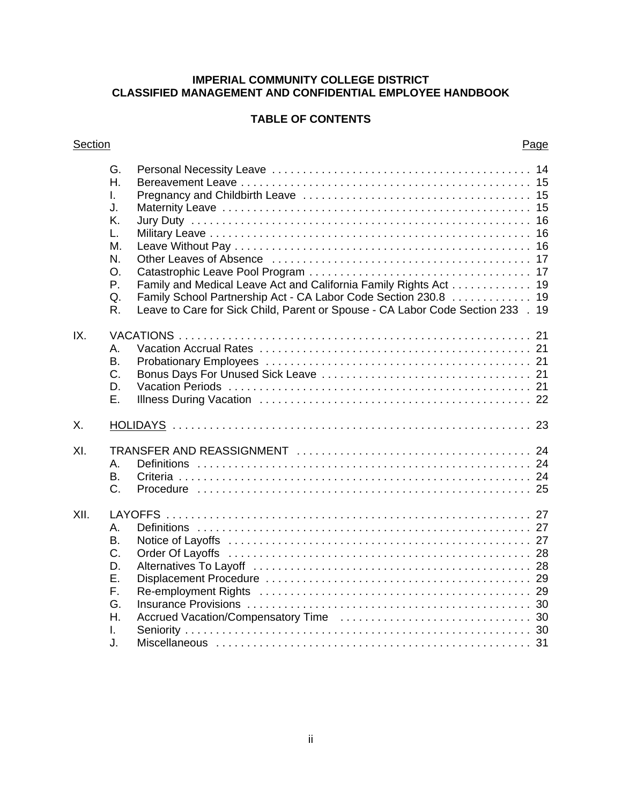#### **IMPERIAL COMMUNITY COLLEGE DISTRICT CLASSIFIED MANAGEMENT AND CONFIDENTIAL EMPLOYEE HANDBOOK**

# **TABLE OF CONTENTS**

#### Section **Page**

|      | G.<br>Η.<br>I.<br>J.<br>K.<br>L.<br>М.<br>N.<br>O <sub>r</sub><br>Ρ.<br>Q.<br>R. | Family and Medical Leave Act and California Family Rights Act 19<br>Family School Partnership Act - CA Labor Code Section 230.8 19<br>Leave to Care for Sick Child, Parent or Spouse - CA Labor Code Section 233 . 19 |  |
|------|----------------------------------------------------------------------------------|-----------------------------------------------------------------------------------------------------------------------------------------------------------------------------------------------------------------------|--|
| IX.  | А.<br>В.<br>C.<br>D.<br>Ε.                                                       |                                                                                                                                                                                                                       |  |
| Χ.   |                                                                                  |                                                                                                                                                                                                                       |  |
| XI.  | А.<br>В.<br>C.                                                                   |                                                                                                                                                                                                                       |  |
| XII. | А.<br>Β.<br>C.<br>D.<br>Ε.<br>F.<br>G.<br>Η.<br>L.<br>J.                         |                                                                                                                                                                                                                       |  |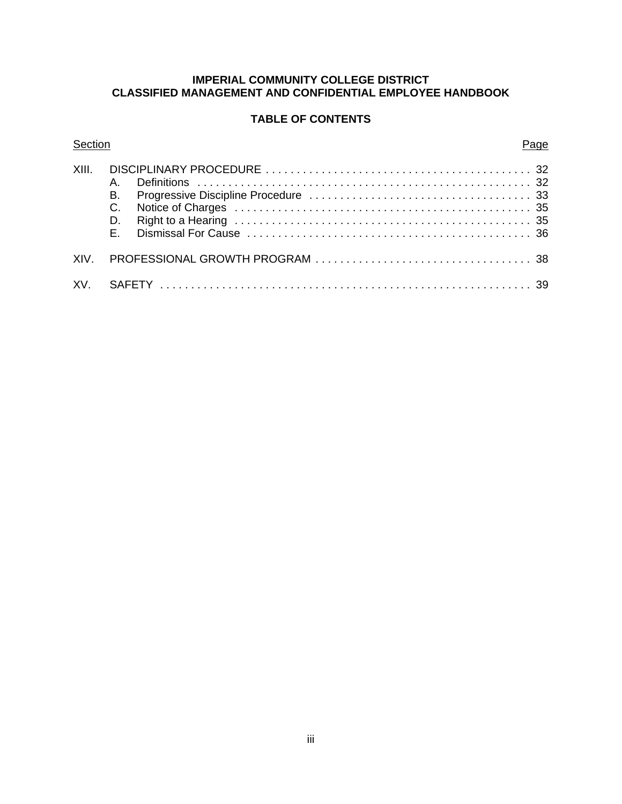#### **IMPERIAL COMMUNITY COLLEGE DISTRICT CLASSIFIED MANAGEMENT AND CONFIDENTIAL EMPLOYEE HANDBOOK**

# **TABLE OF CONTENTS**

#### Section **Page**

| <b>B.</b> |
|-----------|
|           |
|           |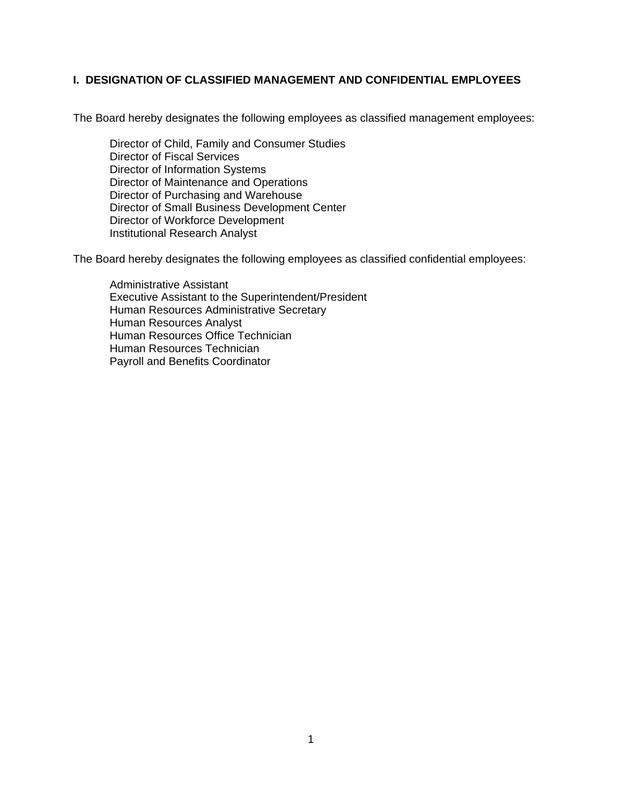#### **I. DESIGNATION OF CLASSIFIED MANAGEMENT AND CONFIDENTIAL EMPLOYEES**

The Board hereby designates the following employees as classified management employees:

Director of Child, Family and Consumer Studies Director of Fiscal Services Director of Information Systems Director of Maintenance and Operations Director of Purchasing and Warehouse Director of Small Business Development Center Director of Workforce Development Institutional Research Analyst

The Board hereby designates the following employees as classified confidential employees:

Administrative Assistant Executive Assistant to the Superintendent/President Human Resources Administrative Secretary Human Resources Analyst Human Resources Office Technician Human Resources Technician Payroll and Benefits Coordinator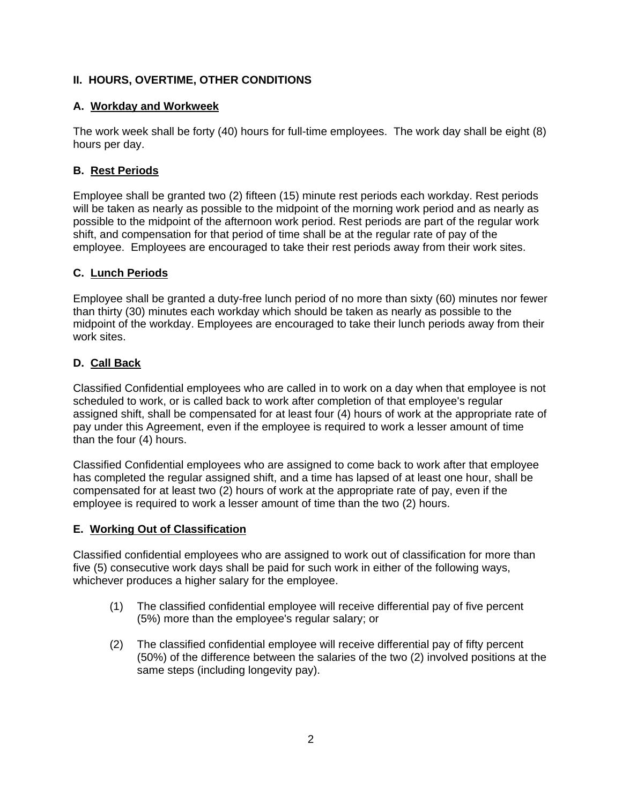# **II. HOURS, OVERTIME, OTHER CONDITIONS**

# **A. Workday and Workweek**

The work week shall be forty (40) hours for full-time employees. The work day shall be eight (8) hours per day.

# **B. Rest Periods**

Employee shall be granted two (2) fifteen (15) minute rest periods each workday. Rest periods will be taken as nearly as possible to the midpoint of the morning work period and as nearly as possible to the midpoint of the afternoon work period. Rest periods are part of the regular work shift, and compensation for that period of time shall be at the regular rate of pay of the employee. Employees are encouraged to take their rest periods away from their work sites.

# **C. Lunch Periods**

Employee shall be granted a duty-free lunch period of no more than sixty (60) minutes nor fewer than thirty (30) minutes each workday which should be taken as nearly as possible to the midpoint of the workday. Employees are encouraged to take their lunch periods away from their work sites.

# **D. Call Back**

Classified Confidential employees who are called in to work on a day when that employee is not scheduled to work, or is called back to work after completion of that employee's regular assigned shift, shall be compensated for at least four (4) hours of work at the appropriate rate of pay under this Agreement, even if the employee is required to work a lesser amount of time than the four (4) hours.

Classified Confidential employees who are assigned to come back to work after that employee has completed the regular assigned shift, and a time has lapsed of at least one hour, shall be compensated for at least two (2) hours of work at the appropriate rate of pay, even if the employee is required to work a lesser amount of time than the two (2) hours.

## **E. Working Out of Classification**

Classified confidential employees who are assigned to work out of classification for more than five (5) consecutive work days shall be paid for such work in either of the following ways, whichever produces a higher salary for the employee.

- (1) The classified confidential employee will receive differential pay of five percent (5%) more than the employee's regular salary; or
- (2) The classified confidential employee will receive differential pay of fifty percent (50%) of the difference between the salaries of the two (2) involved positions at the same steps (including longevity pay).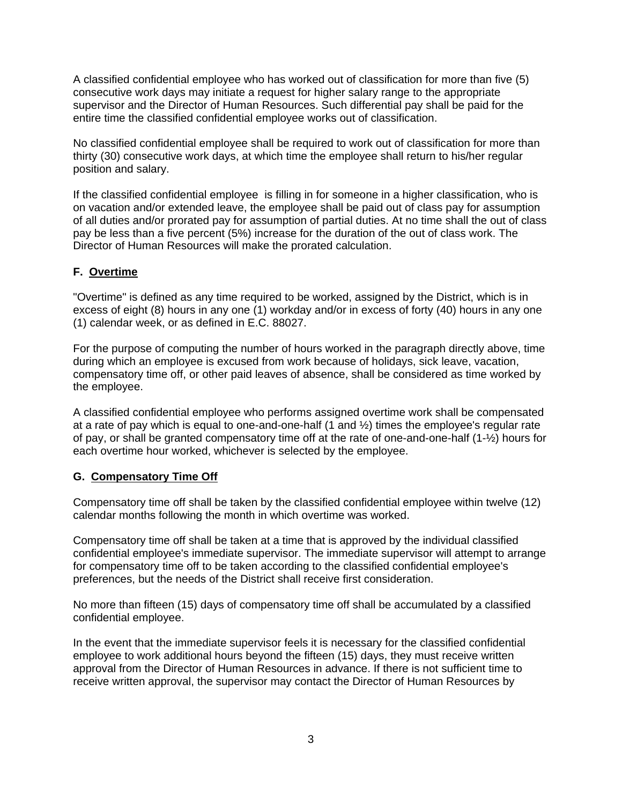A classified confidential employee who has worked out of classification for more than five (5) consecutive work days may initiate a request for higher salary range to the appropriate supervisor and the Director of Human Resources. Such differential pay shall be paid for the entire time the classified confidential employee works out of classification.

No classified confidential employee shall be required to work out of classification for more than thirty (30) consecutive work days, at which time the employee shall return to his/her regular position and salary.

If the classified confidential employee is filling in for someone in a higher classification, who is on vacation and/or extended leave, the employee shall be paid out of class pay for assumption of all duties and/or prorated pay for assumption of partial duties. At no time shall the out of class pay be less than a five percent (5%) increase for the duration of the out of class work. The Director of Human Resources will make the prorated calculation.

# **F. Overtime**

"Overtime" is defined as any time required to be worked, assigned by the District, which is in excess of eight (8) hours in any one (1) workday and/or in excess of forty (40) hours in any one (1) calendar week, or as defined in E.C. 88027.

For the purpose of computing the number of hours worked in the paragraph directly above, time during which an employee is excused from work because of holidays, sick leave, vacation, compensatory time off, or other paid leaves of absence, shall be considered as time worked by the employee.

A classified confidential employee who performs assigned overtime work shall be compensated at a rate of pay which is equal to one-and-one-half  $(1 \text{ and } \frac{1}{2})$  times the employee's regular rate of pay, or shall be granted compensatory time off at the rate of one-and-one-half (1-½) hours for each overtime hour worked, whichever is selected by the employee.

## **G. Compensatory Time Off**

Compensatory time off shall be taken by the classified confidential employee within twelve (12) calendar months following the month in which overtime was worked.

Compensatory time off shall be taken at a time that is approved by the individual classified confidential employee's immediate supervisor. The immediate supervisor will attempt to arrange for compensatory time off to be taken according to the classified confidential employee's preferences, but the needs of the District shall receive first consideration.

No more than fifteen (15) days of compensatory time off shall be accumulated by a classified confidential employee.

In the event that the immediate supervisor feels it is necessary for the classified confidential employee to work additional hours beyond the fifteen (15) days, they must receive written approval from the Director of Human Resources in advance. If there is not sufficient time to receive written approval, the supervisor may contact the Director of Human Resources by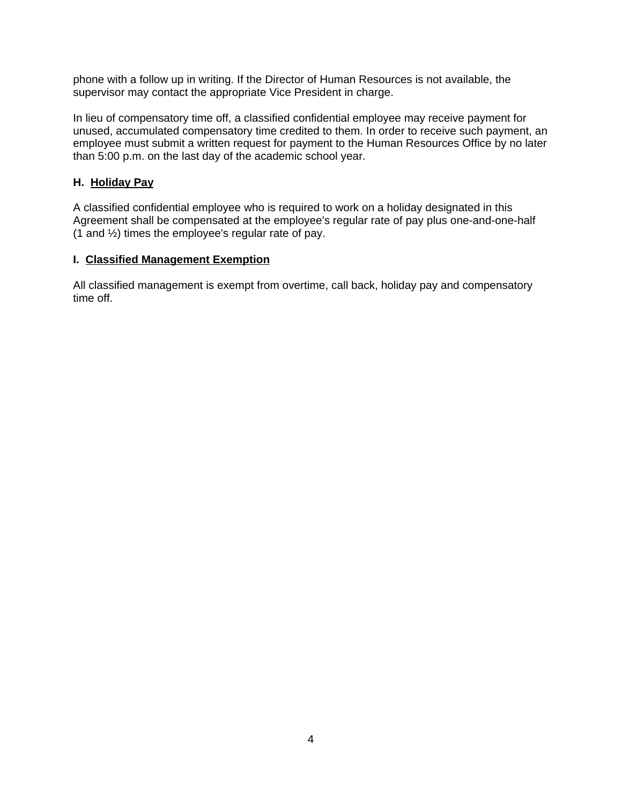phone with a follow up in writing. If the Director of Human Resources is not available, the supervisor may contact the appropriate Vice President in charge.

In lieu of compensatory time off, a classified confidential employee may receive payment for unused, accumulated compensatory time credited to them. In order to receive such payment, an employee must submit a written request for payment to the Human Resources Office by no later than 5:00 p.m. on the last day of the academic school year.

## **H. Holiday Pay**

A classified confidential employee who is required to work on a holiday designated in this Agreement shall be compensated at the employee's regular rate of pay plus one-and-one-half (1 and ½) times the employee's regular rate of pay.

#### **I. Classified Management Exemption**

All classified management is exempt from overtime, call back, holiday pay and compensatory time off.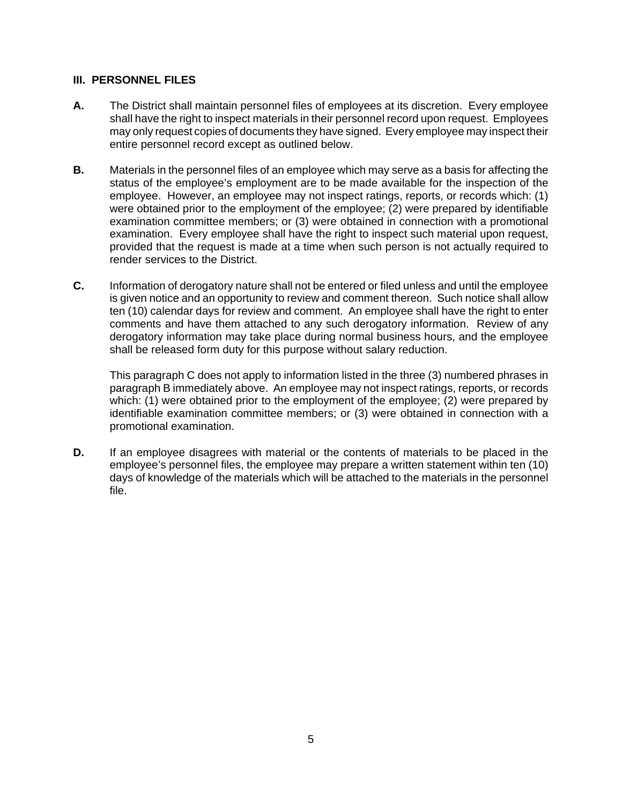#### **III. PERSONNEL FILES**

- **A.** The District shall maintain personnel files of employees at its discretion. Every employee shall have the right to inspect materials in their personnel record upon request. Employees may only request copies of documents they have signed. Every employee may inspect their entire personnel record except as outlined below.
- **B.** Materials in the personnel files of an employee which may serve as a basis for affecting the status of the employee's employment are to be made available for the inspection of the employee. However, an employee may not inspect ratings, reports, or records which: (1) were obtained prior to the employment of the employee; (2) were prepared by identifiable examination committee members; or (3) were obtained in connection with a promotional examination. Every employee shall have the right to inspect such material upon request, provided that the request is made at a time when such person is not actually required to render services to the District.
- **C.** Information of derogatory nature shall not be entered or filed unless and until the employee is given notice and an opportunity to review and comment thereon. Such notice shall allow ten (10) calendar days for review and comment. An employee shall have the right to enter comments and have them attached to any such derogatory information. Review of any derogatory information may take place during normal business hours, and the employee shall be released form duty for this purpose without salary reduction.

This paragraph C does not apply to information listed in the three (3) numbered phrases in paragraph B immediately above. An employee may not inspect ratings, reports, or records which: (1) were obtained prior to the employment of the employee; (2) were prepared by identifiable examination committee members; or (3) were obtained in connection with a promotional examination.

**D.** If an employee disagrees with material or the contents of materials to be placed in the employee's personnel files, the employee may prepare a written statement within ten (10) days of knowledge of the materials which will be attached to the materials in the personnel file.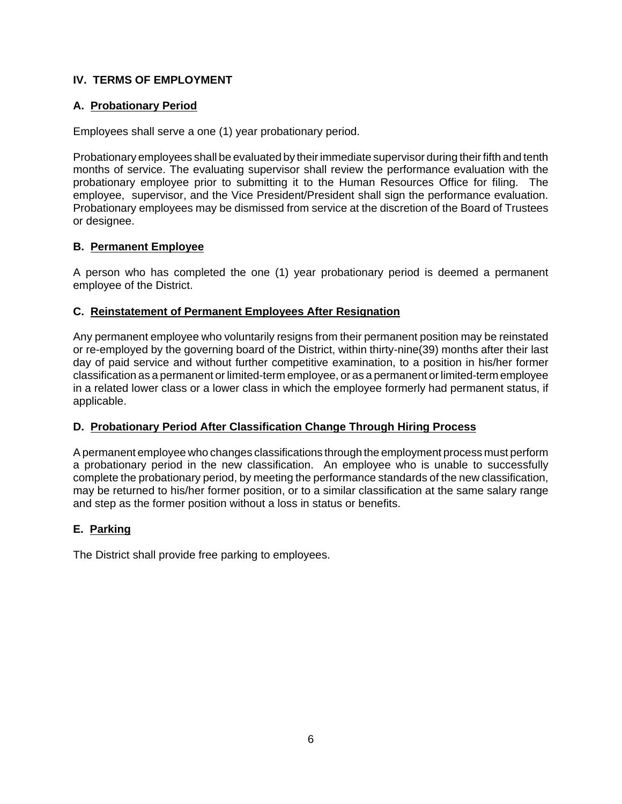# **IV. TERMS OF EMPLOYMENT**

# **A. Probationary Period**

Employees shall serve a one (1) year probationary period.

Probationary employees shall be evaluated by their immediate supervisor during their fifth and tenth months of service. The evaluating supervisor shall review the performance evaluation with the probationary employee prior to submitting it to the Human Resources Office for filing. The employee, supervisor, and the Vice President/President shall sign the performance evaluation. Probationary employees may be dismissed from service at the discretion of the Board of Trustees or designee.

#### **B. Permanent Employee**

A person who has completed the one (1) year probationary period is deemed a permanent employee of the District.

#### **C. Reinstatement of Permanent Employees After Resignation**

Any permanent employee who voluntarily resigns from their permanent position may be reinstated or re-employed by the governing board of the District, within thirty-nine(39) months after their last day of paid service and without further competitive examination, to a position in his/her former classification as a permanent or limited-term employee, or as a permanent or limited-term employee in a related lower class or a lower class in which the employee formerly had permanent status, if applicable.

## **D. Probationary Period After Classification Change Through Hiring Process**

A permanent employee who changes classifications through the employment process must perform a probationary period in the new classification. An employee who is unable to successfully complete the probationary period, by meeting the performance standards of the new classification, may be returned to his/her former position, or to a similar classification at the same salary range and step as the former position without a loss in status or benefits.

## **E. Parking**

The District shall provide free parking to employees.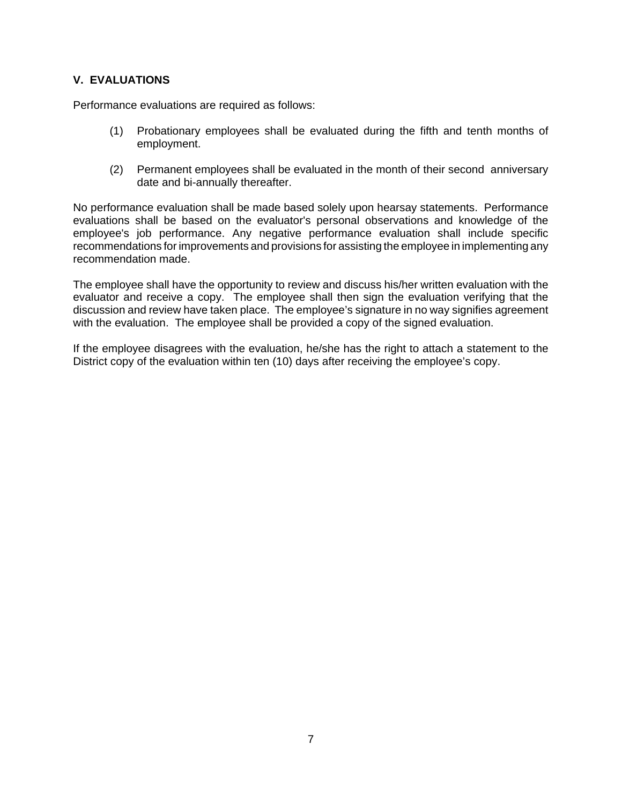# **V. EVALUATIONS**

Performance evaluations are required as follows:

- (1) Probationary employees shall be evaluated during the fifth and tenth months of employment.
- (2) Permanent employees shall be evaluated in the month of their second anniversary date and bi-annually thereafter.

No performance evaluation shall be made based solely upon hearsay statements. Performance evaluations shall be based on the evaluator's personal observations and knowledge of the employee's job performance. Any negative performance evaluation shall include specific recommendations for improvements and provisions for assisting the employee in implementing any recommendation made.

The employee shall have the opportunity to review and discuss his/her written evaluation with the evaluator and receive a copy. The employee shall then sign the evaluation verifying that the discussion and review have taken place. The employee's signature in no way signifies agreement with the evaluation. The employee shall be provided a copy of the signed evaluation.

If the employee disagrees with the evaluation, he/she has the right to attach a statement to the District copy of the evaluation within ten (10) days after receiving the employee's copy.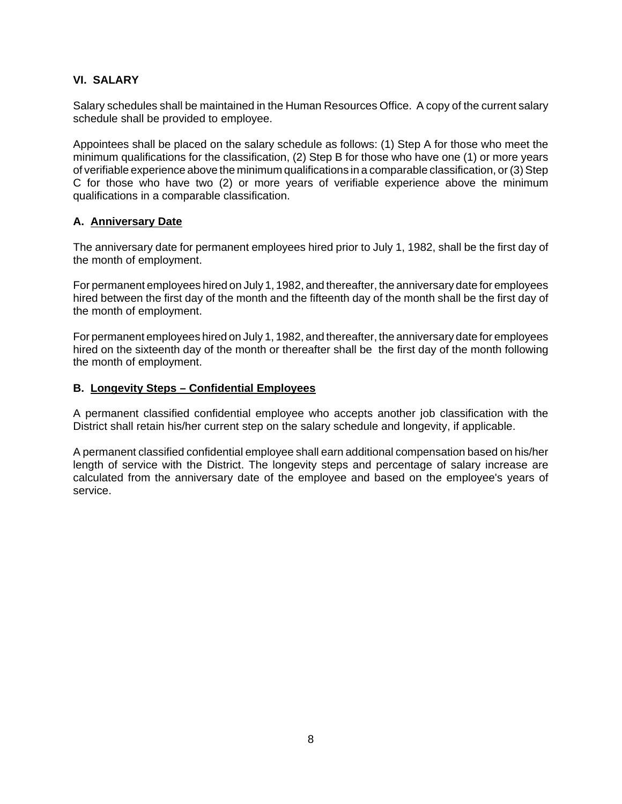# **VI. SALARY**

Salary schedules shall be maintained in the Human Resources Office. A copy of the current salary schedule shall be provided to employee.

Appointees shall be placed on the salary schedule as follows: (1) Step A for those who meet the minimum qualifications for the classification, (2) Step B for those who have one (1) or more years of verifiable experience above the minimum qualifications in a comparable classification, or (3) Step C for those who have two (2) or more years of verifiable experience above the minimum qualifications in a comparable classification.

#### **A. Anniversary Date**

The anniversary date for permanent employees hired prior to July 1, 1982, shall be the first day of the month of employment.

For permanent employees hired on July 1, 1982, and thereafter, the anniversary date for employees hired between the first day of the month and the fifteenth day of the month shall be the first day of the month of employment.

For permanent employees hired on July 1, 1982, and thereafter, the anniversary date for employees hired on the sixteenth day of the month or thereafter shall be the first day of the month following the month of employment.

#### **B. Longevity Steps – Confidential Employees**

A permanent classified confidential employee who accepts another job classification with the District shall retain his/her current step on the salary schedule and longevity, if applicable.

A permanent classified confidential employee shall earn additional compensation based on his/her length of service with the District. The longevity steps and percentage of salary increase are calculated from the anniversary date of the employee and based on the employee's years of service.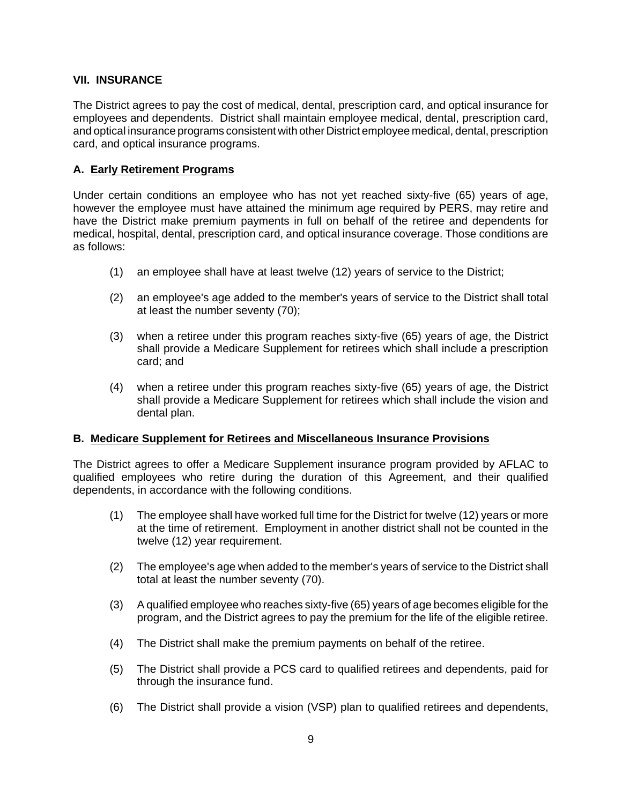#### **VII. INSURANCE**

The District agrees to pay the cost of medical, dental, prescription card, and optical insurance for employees and dependents. District shall maintain employee medical, dental, prescription card, and optical insurance programs consistent with other District employee medical, dental, prescription card, and optical insurance programs.

#### **A. Early Retirement Programs**

Under certain conditions an employee who has not yet reached sixty-five (65) years of age, however the employee must have attained the minimum age required by PERS, may retire and have the District make premium payments in full on behalf of the retiree and dependents for medical, hospital, dental, prescription card, and optical insurance coverage. Those conditions are as follows:

- (1) an employee shall have at least twelve (12) years of service to the District;
- (2) an employee's age added to the member's years of service to the District shall total at least the number seventy (70);
- (3) when a retiree under this program reaches sixty-five (65) years of age, the District shall provide a Medicare Supplement for retirees which shall include a prescription card; and
- (4) when a retiree under this program reaches sixty-five (65) years of age, the District shall provide a Medicare Supplement for retirees which shall include the vision and dental plan.

#### **B. Medicare Supplement for Retirees and Miscellaneous Insurance Provisions**

The District agrees to offer a Medicare Supplement insurance program provided by AFLAC to qualified employees who retire during the duration of this Agreement, and their qualified dependents, in accordance with the following conditions.

- (1) The employee shall have worked full time for the District for twelve (12) years or more at the time of retirement. Employment in another district shall not be counted in the twelve (12) year requirement.
- (2) The employee's age when added to the member's years of service to the District shall total at least the number seventy (70).
- (3) A qualified employee who reaches sixty-five (65) years of age becomes eligible for the program, and the District agrees to pay the premium for the life of the eligible retiree.
- (4) The District shall make the premium payments on behalf of the retiree.
- (5) The District shall provide a PCS card to qualified retirees and dependents, paid for through the insurance fund.
- (6) The District shall provide a vision (VSP) plan to qualified retirees and dependents,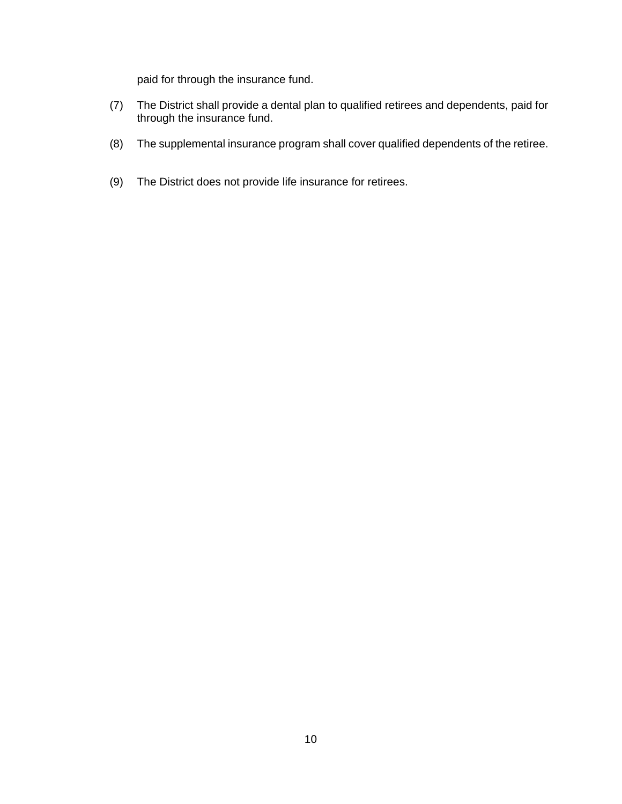paid for through the insurance fund.

- (7) The District shall provide a dental plan to qualified retirees and dependents, paid for through the insurance fund.
- (8) The supplemental insurance program shall cover qualified dependents of the retiree.
- (9) The District does not provide life insurance for retirees.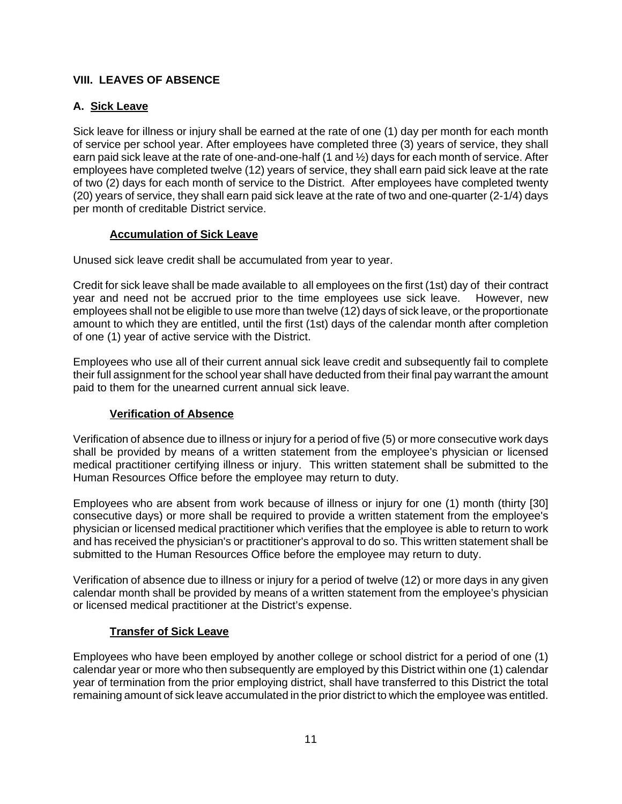# **VIII. LEAVES OF ABSENCE**

# **A. Sick Leave**

Sick leave for illness or injury shall be earned at the rate of one (1) day per month for each month of service per school year. After employees have completed three (3) years of service, they shall earn paid sick leave at the rate of one-and-one-half (1 and ½) days for each month of service. After employees have completed twelve (12) years of service, they shall earn paid sick leave at the rate of two (2) days for each month of service to the District. After employees have completed twenty (20) years of service, they shall earn paid sick leave at the rate of two and one-quarter (2-1/4) days per month of creditable District service.

## **Accumulation of Sick Leave**

Unused sick leave credit shall be accumulated from year to year.

Credit for sick leave shall be made available to all employees on the first (1st) day of their contract year and need not be accrued prior to the time employees use sick leave. However, new employees shall not be eligible to use more than twelve (12) days of sick leave, or the proportionate amount to which they are entitled, until the first (1st) days of the calendar month after completion of one (1) year of active service with the District.

Employees who use all of their current annual sick leave credit and subsequently fail to complete their full assignment for the school year shall have deducted from their final pay warrant the amount paid to them for the unearned current annual sick leave.

# **Verification of Absence**

Verification of absence due to illness or injury for a period of five (5) or more consecutive work days shall be provided by means of a written statement from the employee's physician or licensed medical practitioner certifying illness or injury. This written statement shall be submitted to the Human Resources Office before the employee may return to duty.

Employees who are absent from work because of illness or injury for one (1) month (thirty [30] consecutive days) or more shall be required to provide a written statement from the employee's physician or licensed medical practitioner which verifies that the employee is able to return to work and has received the physician's or practitioner's approval to do so. This written statement shall be submitted to the Human Resources Office before the employee may return to duty.

Verification of absence due to illness or injury for a period of twelve (12) or more days in any given calendar month shall be provided by means of a written statement from the employee's physician or licensed medical practitioner at the District's expense.

## **Transfer of Sick Leave**

Employees who have been employed by another college or school district for a period of one (1) calendar year or more who then subsequently are employed by this District within one (1) calendar year of termination from the prior employing district, shall have transferred to this District the total remaining amount of sick leave accumulated in the prior district to which the employee was entitled.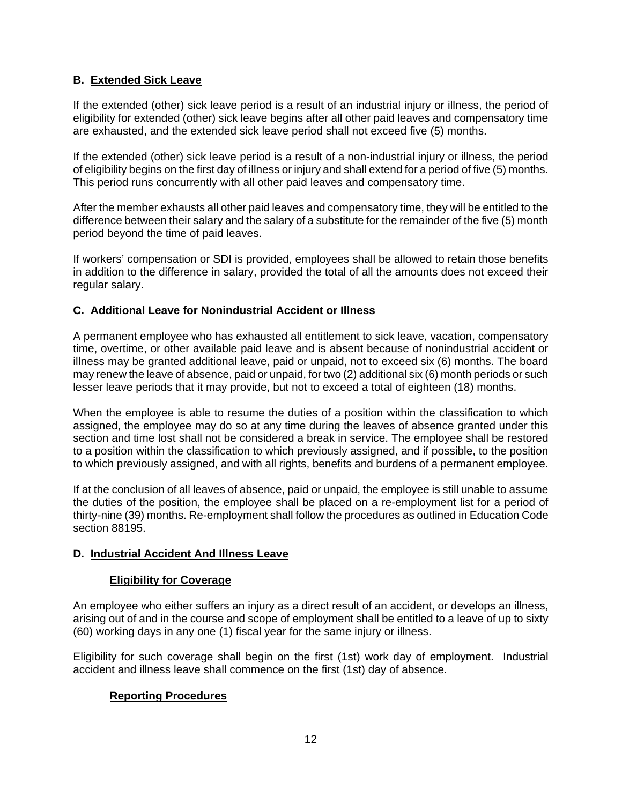# **B. Extended Sick Leave**

If the extended (other) sick leave period is a result of an industrial injury or illness, the period of eligibility for extended (other) sick leave begins after all other paid leaves and compensatory time are exhausted, and the extended sick leave period shall not exceed five (5) months.

If the extended (other) sick leave period is a result of a non-industrial injury or illness, the period of eligibility begins on the first day of illness or injury and shall extend for a period of five (5) months. This period runs concurrently with all other paid leaves and compensatory time.

After the member exhausts all other paid leaves and compensatory time, they will be entitled to the difference between their salary and the salary of a substitute for the remainder of the five (5) month period beyond the time of paid leaves.

If workers' compensation or SDI is provided, employees shall be allowed to retain those benefits in addition to the difference in salary, provided the total of all the amounts does not exceed their regular salary.

## **C. Additional Leave for Nonindustrial Accident or Illness**

A permanent employee who has exhausted all entitlement to sick leave, vacation, compensatory time, overtime, or other available paid leave and is absent because of nonindustrial accident or illness may be granted additional leave, paid or unpaid, not to exceed six (6) months. The board may renew the leave of absence, paid or unpaid, for two (2) additional six (6) month periods or such lesser leave periods that it may provide, but not to exceed a total of eighteen (18) months.

When the employee is able to resume the duties of a position within the classification to which assigned, the employee may do so at any time during the leaves of absence granted under this section and time lost shall not be considered a break in service. The employee shall be restored to a position within the classification to which previously assigned, and if possible, to the position to which previously assigned, and with all rights, benefits and burdens of a permanent employee.

If at the conclusion of all leaves of absence, paid or unpaid, the employee is still unable to assume the duties of the position, the employee shall be placed on a re-employment list for a period of thirty-nine (39) months. Re-employment shall follow the procedures as outlined in Education Code section 88195.

## **D. Industrial Accident And Illness Leave**

## **Eligibility for Coverage**

An employee who either suffers an injury as a direct result of an accident, or develops an illness, arising out of and in the course and scope of employment shall be entitled to a leave of up to sixty (60) working days in any one (1) fiscal year for the same injury or illness.

Eligibility for such coverage shall begin on the first (1st) work day of employment. Industrial accident and illness leave shall commence on the first (1st) day of absence.

# **Reporting Procedures**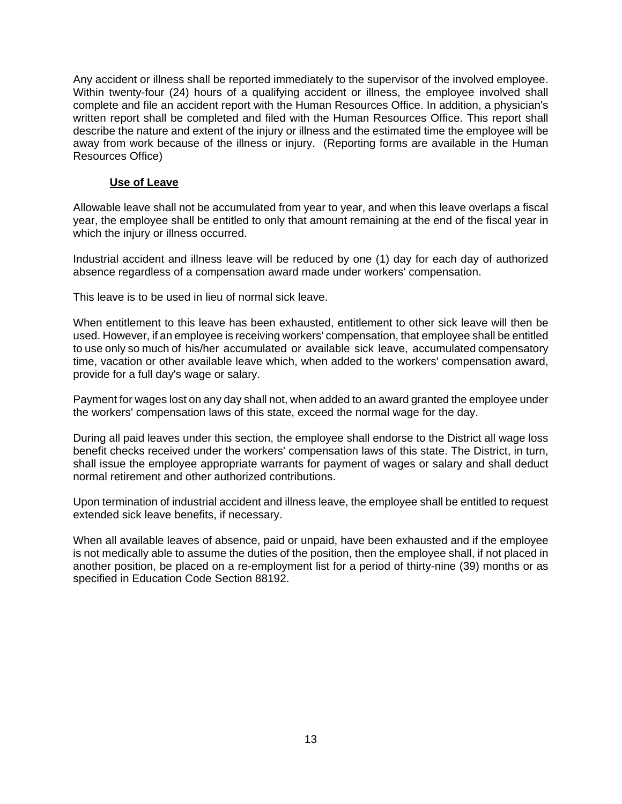Any accident or illness shall be reported immediately to the supervisor of the involved employee. Within twenty-four (24) hours of a qualifying accident or illness, the employee involved shall complete and file an accident report with the Human Resources Office. In addition, a physician's written report shall be completed and filed with the Human Resources Office. This report shall describe the nature and extent of the injury or illness and the estimated time the employee will be away from work because of the illness or injury. (Reporting forms are available in the Human Resources Office)

#### **Use of Leave**

Allowable leave shall not be accumulated from year to year, and when this leave overlaps a fiscal year, the employee shall be entitled to only that amount remaining at the end of the fiscal year in which the injury or illness occurred.

Industrial accident and illness leave will be reduced by one (1) day for each day of authorized absence regardless of a compensation award made under workers' compensation.

This leave is to be used in lieu of normal sick leave.

When entitlement to this leave has been exhausted, entitlement to other sick leave will then be used. However, if an employee is receiving workers' compensation, that employee shall be entitled to use only so much of his/her accumulated or available sick leave, accumulated compensatory time, vacation or other available leave which, when added to the workers' compensation award, provide for a full day's wage or salary.

Payment for wages lost on any day shall not, when added to an award granted the employee under the workers' compensation laws of this state, exceed the normal wage for the day.

During all paid leaves under this section, the employee shall endorse to the District all wage loss benefit checks received under the workers' compensation laws of this state. The District, in turn, shall issue the employee appropriate warrants for payment of wages or salary and shall deduct normal retirement and other authorized contributions.

Upon termination of industrial accident and illness leave, the employee shall be entitled to request extended sick leave benefits, if necessary.

When all available leaves of absence, paid or unpaid, have been exhausted and if the employee is not medically able to assume the duties of the position, then the employee shall, if not placed in another position, be placed on a re-employment list for a period of thirty-nine (39) months or as specified in Education Code Section 88192.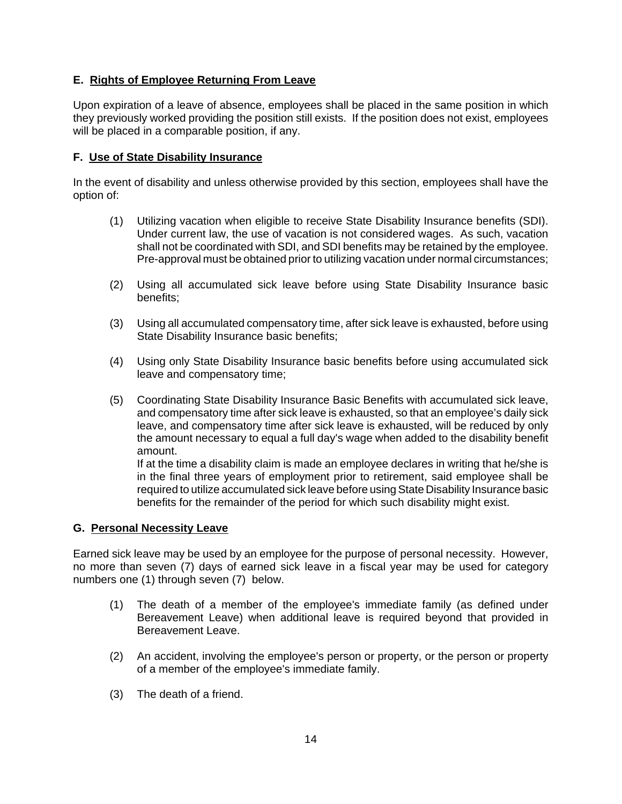# **E. Rights of Employee Returning From Leave**

Upon expiration of a leave of absence, employees shall be placed in the same position in which they previously worked providing the position still exists. If the position does not exist, employees will be placed in a comparable position, if any.

#### **F. Use of State Disability Insurance**

In the event of disability and unless otherwise provided by this section, employees shall have the option of:

- (1) Utilizing vacation when eligible to receive State Disability Insurance benefits (SDI). Under current law, the use of vacation is not considered wages. As such, vacation shall not be coordinated with SDI, and SDI benefits may be retained by the employee. Pre-approval must be obtained prior to utilizing vacation under normal circumstances;
- (2) Using all accumulated sick leave before using State Disability Insurance basic benefits;
- (3) Using all accumulated compensatory time, after sick leave is exhausted, before using State Disability Insurance basic benefits;
- (4) Using only State Disability Insurance basic benefits before using accumulated sick leave and compensatory time;
- (5) Coordinating State Disability Insurance Basic Benefits with accumulated sick leave, and compensatory time after sick leave is exhausted, so that an employee's daily sick leave, and compensatory time after sick leave is exhausted, will be reduced by only the amount necessary to equal a full day's wage when added to the disability benefit amount.

If at the time a disability claim is made an employee declares in writing that he/she is in the final three years of employment prior to retirement, said employee shall be required to utilize accumulated sick leave before using State Disability Insurance basic benefits for the remainder of the period for which such disability might exist.

#### **G. Personal Necessity Leave**

Earned sick leave may be used by an employee for the purpose of personal necessity. However, no more than seven (7) days of earned sick leave in a fiscal year may be used for category numbers one (1) through seven (7) below.

- (1) The death of a member of the employee's immediate family (as defined under Bereavement Leave) when additional leave is required beyond that provided in Bereavement Leave.
- (2) An accident, involving the employee's person or property, or the person or property of a member of the employee's immediate family.
- (3) The death of a friend.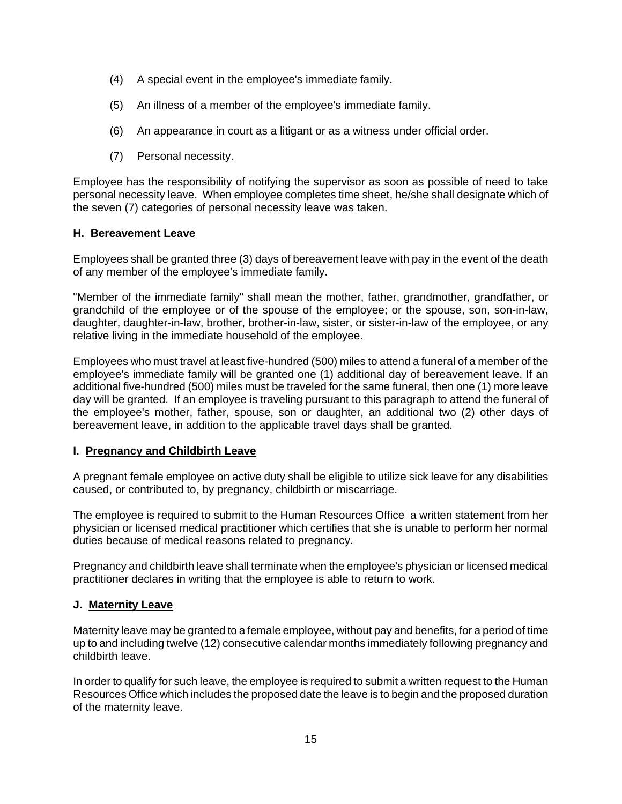- (4) A special event in the employee's immediate family.
- (5) An illness of a member of the employee's immediate family.
- (6) An appearance in court as a litigant or as a witness under official order.
- (7) Personal necessity.

Employee has the responsibility of notifying the supervisor as soon as possible of need to take personal necessity leave. When employee completes time sheet, he/she shall designate which of the seven (7) categories of personal necessity leave was taken.

#### **H. Bereavement Leave**

Employees shall be granted three (3) days of bereavement leave with pay in the event of the death of any member of the employee's immediate family.

"Member of the immediate family" shall mean the mother, father, grandmother, grandfather, or grandchild of the employee or of the spouse of the employee; or the spouse, son, son-in-law, daughter, daughter-in-law, brother, brother-in-law, sister, or sister-in-law of the employee, or any relative living in the immediate household of the employee.

Employees who must travel at least five-hundred (500) miles to attend a funeral of a member of the employee's immediate family will be granted one (1) additional day of bereavement leave. If an additional five-hundred (500) miles must be traveled for the same funeral, then one (1) more leave day will be granted. If an employee is traveling pursuant to this paragraph to attend the funeral of the employee's mother, father, spouse, son or daughter, an additional two (2) other days of bereavement leave, in addition to the applicable travel days shall be granted.

## **I. Pregnancy and Childbirth Leave**

A pregnant female employee on active duty shall be eligible to utilize sick leave for any disabilities caused, or contributed to, by pregnancy, childbirth or miscarriage.

The employee is required to submit to the Human Resources Office a written statement from her physician or licensed medical practitioner which certifies that she is unable to perform her normal duties because of medical reasons related to pregnancy.

Pregnancy and childbirth leave shall terminate when the employee's physician or licensed medical practitioner declares in writing that the employee is able to return to work.

## **J. Maternity Leave**

Maternity leave may be granted to a female employee, without pay and benefits, for a period of time up to and including twelve (12) consecutive calendar months immediately following pregnancy and childbirth leave.

In order to qualify for such leave, the employee is required to submit a written request to the Human Resources Office which includes the proposed date the leave is to begin and the proposed duration of the maternity leave.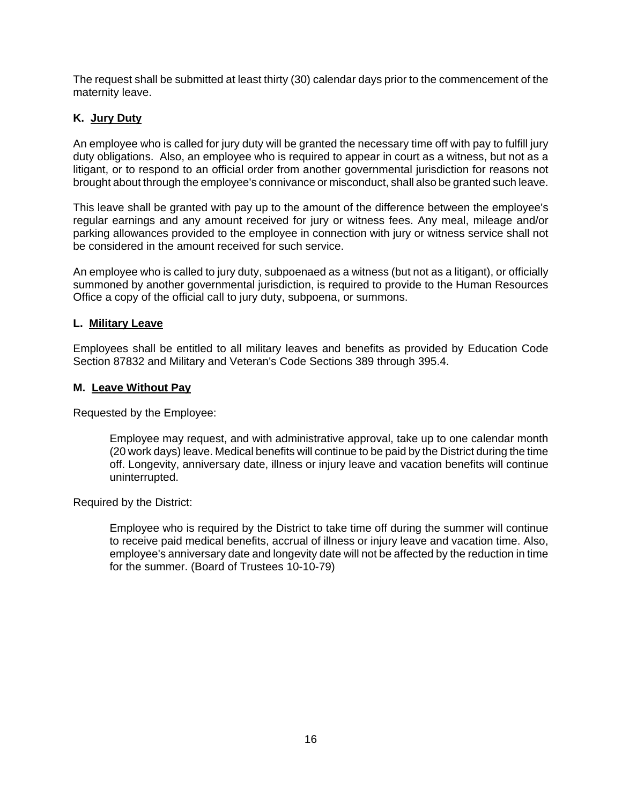The request shall be submitted at least thirty (30) calendar days prior to the commencement of the maternity leave.

# **K. Jury Duty**

An employee who is called for jury duty will be granted the necessary time off with pay to fulfill jury duty obligations. Also, an employee who is required to appear in court as a witness, but not as a litigant, or to respond to an official order from another governmental jurisdiction for reasons not brought about through the employee's connivance or misconduct, shall also be granted such leave.

This leave shall be granted with pay up to the amount of the difference between the employee's regular earnings and any amount received for jury or witness fees. Any meal, mileage and/or parking allowances provided to the employee in connection with jury or witness service shall not be considered in the amount received for such service.

An employee who is called to jury duty, subpoenaed as a witness (but not as a litigant), or officially summoned by another governmental jurisdiction, is required to provide to the Human Resources Office a copy of the official call to jury duty, subpoena, or summons.

#### **L. Military Leave**

Employees shall be entitled to all military leaves and benefits as provided by Education Code Section 87832 and Military and Veteran's Code Sections 389 through 395.4.

#### **M. Leave Without Pay**

Requested by the Employee:

Employee may request, and with administrative approval, take up to one calendar month (20 work days) leave. Medical benefits will continue to be paid by the District during the time off. Longevity, anniversary date, illness or injury leave and vacation benefits will continue uninterrupted.

Required by the District:

Employee who is required by the District to take time off during the summer will continue to receive paid medical benefits, accrual of illness or injury leave and vacation time. Also, employee's anniversary date and longevity date will not be affected by the reduction in time for the summer. (Board of Trustees 10-10-79)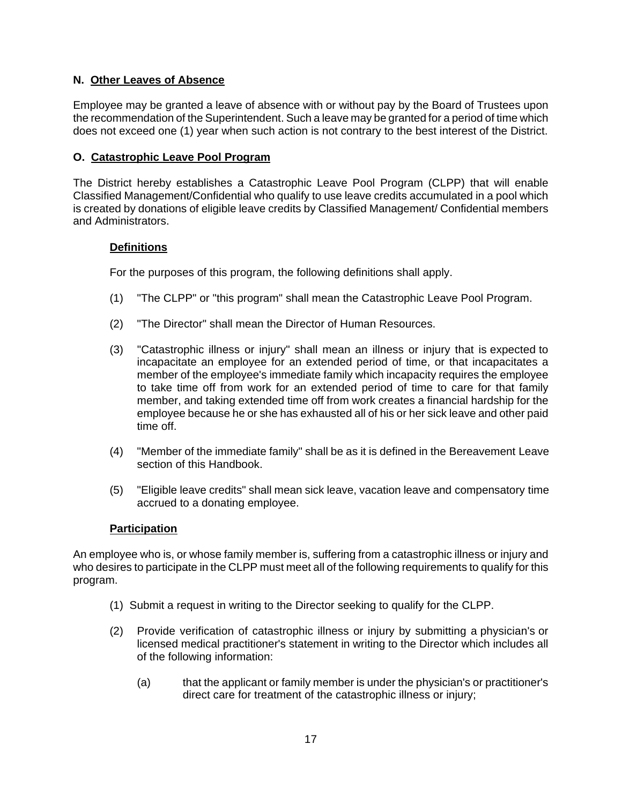# **N. Other Leaves of Absence**

Employee may be granted a leave of absence with or without pay by the Board of Trustees upon the recommendation of the Superintendent. Such a leave may be granted for a period of time which does not exceed one (1) year when such action is not contrary to the best interest of the District.

## **O. Catastrophic Leave Pool Program**

The District hereby establishes a Catastrophic Leave Pool Program (CLPP) that will enable Classified Management/Confidential who qualify to use leave credits accumulated in a pool which is created by donations of eligible leave credits by Classified Management/ Confidential members and Administrators.

## **Definitions**

For the purposes of this program, the following definitions shall apply.

- (1) "The CLPP" or "this program" shall mean the Catastrophic Leave Pool Program.
- (2) "The Director" shall mean the Director of Human Resources.
- (3) "Catastrophic illness or injury" shall mean an illness or injury that is expected to incapacitate an employee for an extended period of time, or that incapacitates a member of the employee's immediate family which incapacity requires the employee to take time off from work for an extended period of time to care for that family member, and taking extended time off from work creates a financial hardship for the employee because he or she has exhausted all of his or her sick leave and other paid time off.
- (4) "Member of the immediate family" shall be as it is defined in the Bereavement Leave section of this Handbook.
- (5) "Eligible leave credits" shall mean sick leave, vacation leave and compensatory time accrued to a donating employee.

## **Participation**

An employee who is, or whose family member is, suffering from a catastrophic illness or injury and who desires to participate in the CLPP must meet all of the following requirements to qualify for this program.

- (1) Submit a request in writing to the Director seeking to qualify for the CLPP.
- (2) Provide verification of catastrophic illness or injury by submitting a physician's or licensed medical practitioner's statement in writing to the Director which includes all of the following information:
	- (a) that the applicant or family member is under the physician's or practitioner's direct care for treatment of the catastrophic illness or injury;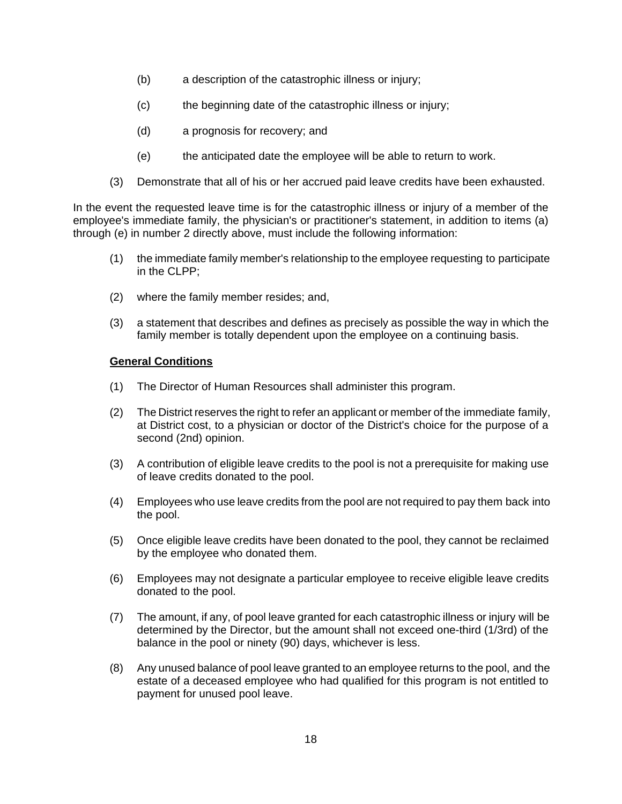- (b) a description of the catastrophic illness or injury;
- (c) the beginning date of the catastrophic illness or injury;
- (d) a prognosis for recovery; and
- (e) the anticipated date the employee will be able to return to work.
- (3) Demonstrate that all of his or her accrued paid leave credits have been exhausted.

In the event the requested leave time is for the catastrophic illness or injury of a member of the employee's immediate family, the physician's or practitioner's statement, in addition to items (a) through (e) in number 2 directly above, must include the following information:

- (1) the immediate family member's relationship to the employee requesting to participate in the CLPP;
- (2) where the family member resides; and,
- (3) a statement that describes and defines as precisely as possible the way in which the family member is totally dependent upon the employee on a continuing basis.

#### **General Conditions**

- (1) The Director of Human Resources shall administer this program.
- (2) The District reserves the right to refer an applicant or member of the immediate family, at District cost, to a physician or doctor of the District's choice for the purpose of a second (2nd) opinion.
- (3) A contribution of eligible leave credits to the pool is not a prerequisite for making use of leave credits donated to the pool.
- (4) Employees who use leave credits from the pool are not required to pay them back into the pool.
- (5) Once eligible leave credits have been donated to the pool, they cannot be reclaimed by the employee who donated them.
- (6) Employees may not designate a particular employee to receive eligible leave credits donated to the pool.
- (7) The amount, if any, of pool leave granted for each catastrophic illness or injury will be determined by the Director, but the amount shall not exceed one-third (1/3rd) of the balance in the pool or ninety (90) days, whichever is less.
- (8) Any unused balance of pool leave granted to an employee returns to the pool, and the estate of a deceased employee who had qualified for this program is not entitled to payment for unused pool leave.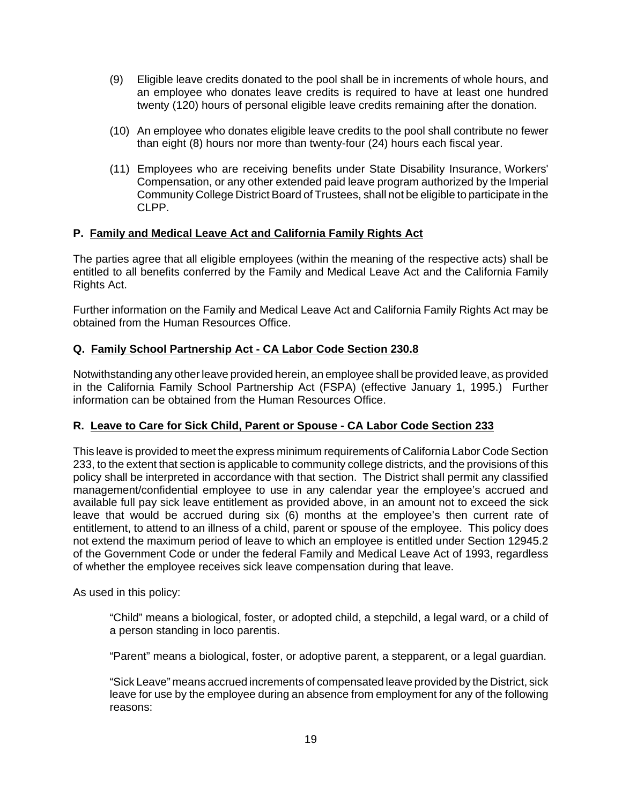- (9) Eligible leave credits donated to the pool shall be in increments of whole hours, and an employee who donates leave credits is required to have at least one hundred twenty (120) hours of personal eligible leave credits remaining after the donation.
- (10) An employee who donates eligible leave credits to the pool shall contribute no fewer than eight (8) hours nor more than twenty-four (24) hours each fiscal year.
- (11) Employees who are receiving benefits under State Disability Insurance, Workers' Compensation, or any other extended paid leave program authorized by the Imperial Community College District Board of Trustees, shall not be eligible to participate in the CLPP.

## **P. Family and Medical Leave Act and California Family Rights Act**

The parties agree that all eligible employees (within the meaning of the respective acts) shall be entitled to all benefits conferred by the Family and Medical Leave Act and the California Family Rights Act.

Further information on the Family and Medical Leave Act and California Family Rights Act may be obtained from the Human Resources Office.

# **Q. Family School Partnership Act - CA Labor Code Section 230.8**

Notwithstanding any other leave provided herein, an employee shall be provided leave, as provided in the California Family School Partnership Act (FSPA) (effective January 1, 1995.) Further information can be obtained from the Human Resources Office.

## **R. Leave to Care for Sick Child, Parent or Spouse - CA Labor Code Section 233**

This leave is provided to meet the express minimum requirements of California Labor Code Section 233, to the extent that section is applicable to community college districts, and the provisions of this policy shall be interpreted in accordance with that section. The District shall permit any classified management/confidential employee to use in any calendar year the employee's accrued and available full pay sick leave entitlement as provided above, in an amount not to exceed the sick leave that would be accrued during six (6) months at the employee's then current rate of entitlement, to attend to an illness of a child, parent or spouse of the employee. This policy does not extend the maximum period of leave to which an employee is entitled under Section 12945.2 of the Government Code or under the federal Family and Medical Leave Act of 1993, regardless of whether the employee receives sick leave compensation during that leave.

As used in this policy:

"Child" means a biological, foster, or adopted child, a stepchild, a legal ward, or a child of a person standing in loco parentis.

"Parent" means a biological, foster, or adoptive parent, a stepparent, or a legal guardian.

"Sick Leave" means accrued increments of compensated leave provided by the District, sick leave for use by the employee during an absence from employment for any of the following reasons: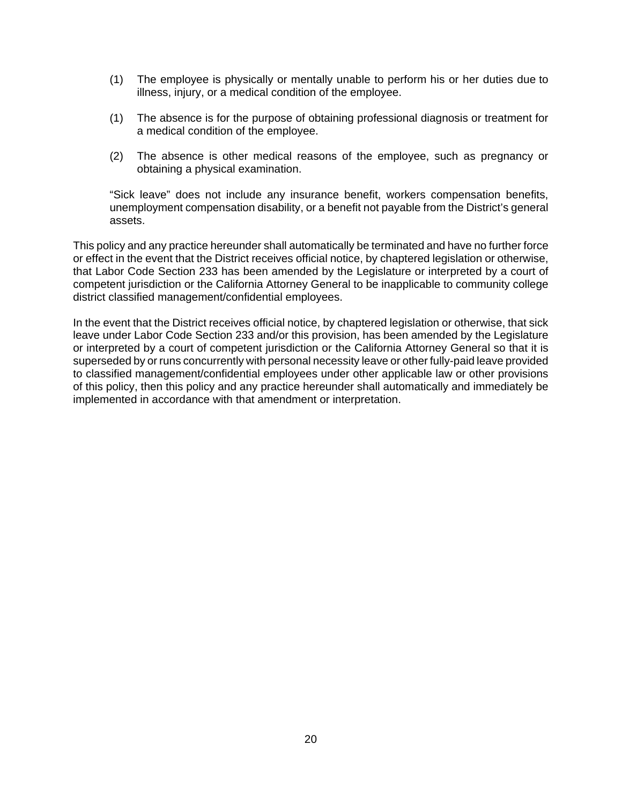- (1) The employee is physically or mentally unable to perform his or her duties due to illness, injury, or a medical condition of the employee.
- (1) The absence is for the purpose of obtaining professional diagnosis or treatment for a medical condition of the employee.
- (2) The absence is other medical reasons of the employee, such as pregnancy or obtaining a physical examination.

"Sick leave" does not include any insurance benefit, workers compensation benefits, unemployment compensation disability, or a benefit not payable from the District's general assets.

This policy and any practice hereunder shall automatically be terminated and have no further force or effect in the event that the District receives official notice, by chaptered legislation or otherwise, that Labor Code Section 233 has been amended by the Legislature or interpreted by a court of competent jurisdiction or the California Attorney General to be inapplicable to community college district classified management/confidential employees.

In the event that the District receives official notice, by chaptered legislation or otherwise, that sick leave under Labor Code Section 233 and/or this provision, has been amended by the Legislature or interpreted by a court of competent jurisdiction or the California Attorney General so that it is superseded by or runs concurrently with personal necessity leave or other fully-paid leave provided to classified management/confidential employees under other applicable law or other provisions of this policy, then this policy and any practice hereunder shall automatically and immediately be implemented in accordance with that amendment or interpretation.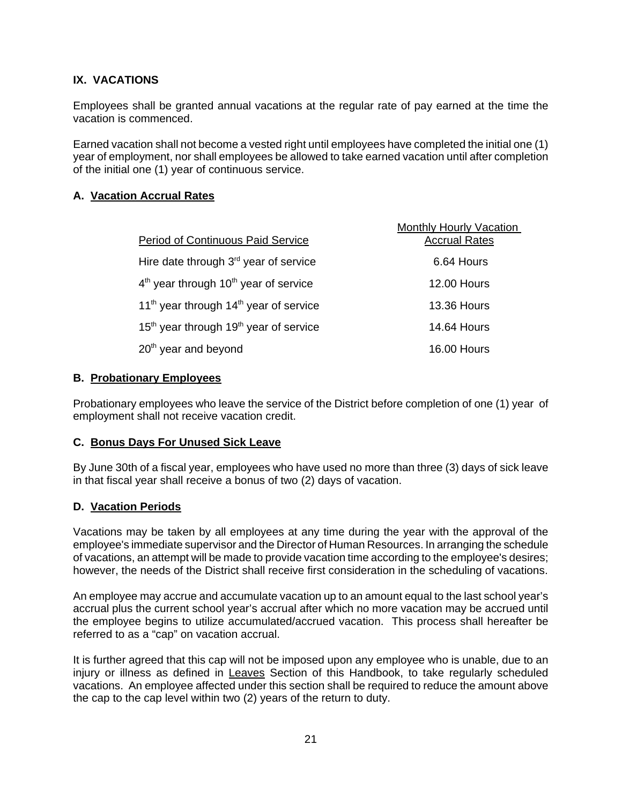# **IX. VACATIONS**

Employees shall be granted annual vacations at the regular rate of pay earned at the time the vacation is commenced.

Earned vacation shall not become a vested right until employees have completed the initial one (1) year of employment, nor shall employees be allowed to take earned vacation until after completion of the initial one (1) year of continuous service.

#### **A. Vacation Accrual Rates**

|                                                                | <b>Monthly Hourly Vacation</b> |
|----------------------------------------------------------------|--------------------------------|
| <b>Period of Continuous Paid Service</b>                       | <b>Accrual Rates</b>           |
| Hire date through $3rd$ year of service                        | 6.64 Hours                     |
| 4 <sup>th</sup> year through 10 <sup>th</sup> year of service  | <b>12.00 Hours</b>             |
| 11 <sup>th</sup> year through $14th$ year of service           | <b>13.36 Hours</b>             |
| 15 <sup>th</sup> year through 19 <sup>th</sup> year of service | <b>14.64 Hours</b>             |
| 20 <sup>th</sup> year and beyond                               | 16.00 Hours                    |

#### **B. Probationary Employees**

Probationary employees who leave the service of the District before completion of one (1) year of employment shall not receive vacation credit.

#### **C. Bonus Days For Unused Sick Leave**

By June 30th of a fiscal year, employees who have used no more than three (3) days of sick leave in that fiscal year shall receive a bonus of two (2) days of vacation.

#### **D. Vacation Periods**

Vacations may be taken by all employees at any time during the year with the approval of the employee's immediate supervisor and the Director of Human Resources. In arranging the schedule of vacations, an attempt will be made to provide vacation time according to the employee's desires; however, the needs of the District shall receive first consideration in the scheduling of vacations.

An employee may accrue and accumulate vacation up to an amount equal to the last school year's accrual plus the current school year's accrual after which no more vacation may be accrued until the employee begins to utilize accumulated/accrued vacation. This process shall hereafter be referred to as a "cap" on vacation accrual.

It is further agreed that this cap will not be imposed upon any employee who is unable, due to an injury or illness as defined in Leaves Section of this Handbook, to take regularly scheduled vacations. An employee affected under this section shall be required to reduce the amount above the cap to the cap level within two (2) years of the return to duty.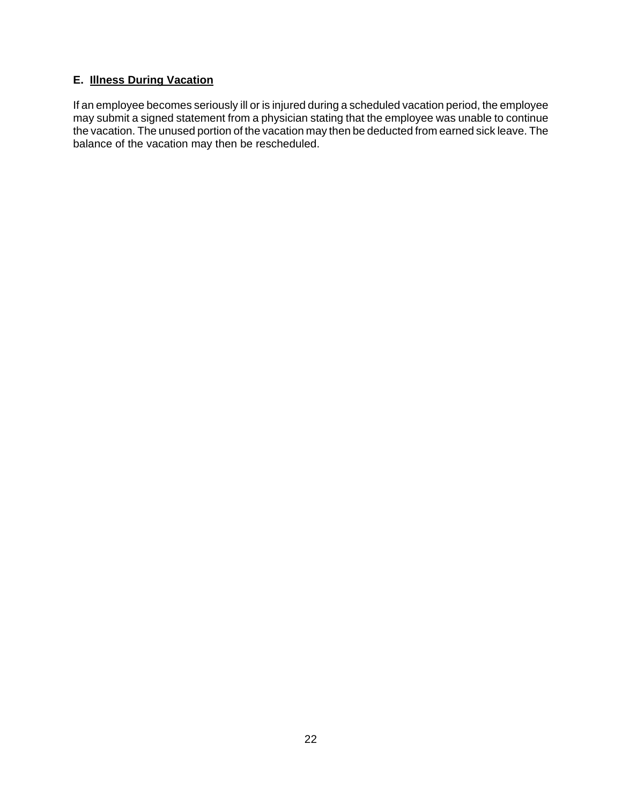# **E. Illness During Vacation**

If an employee becomes seriously ill or is injured during a scheduled vacation period, the employee may submit a signed statement from a physician stating that the employee was unable to continue the vacation. The unused portion of the vacation may then be deducted from earned sick leave. The balance of the vacation may then be rescheduled.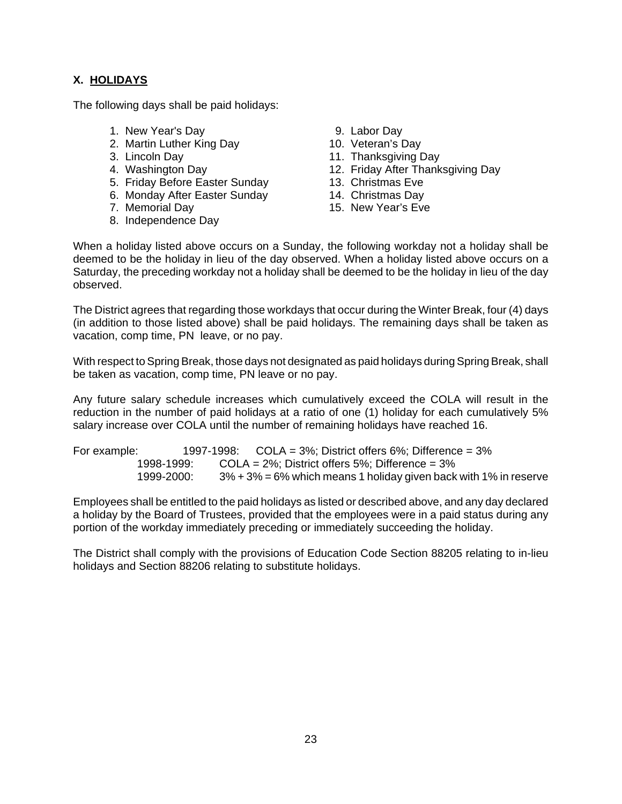# **X. HOLIDAYS**

The following days shall be paid holidays:

- 1. New Year's Day 1. New Year's Day
- 2. Martin Luther King Day 10. Veteran's Day
- 
- 
- 5. Friday Before Easter Sunday 13. Christmas Eve 4. Web. 2016.<br>
5. Friday Before Easter Sunday<br>
6. Monday After Easter Sunday<br>
7. Memorial Day<br>
15. New Year's Eve
- 6. Monday After Easter Sunday 14. Christmas Day
- 
- 8. Independence Day
- 
- 
- 3. Lincoln Day 11. Thanksgiving Day
- 4. Washington Day 12. Friday After Thanksgiving Day
	-
	-
	-

When a holiday listed above occurs on a Sunday, the following workday not a holiday shall be deemed to be the holiday in lieu of the day observed. When a holiday listed above occurs on a Saturday, the preceding workday not a holiday shall be deemed to be the holiday in lieu of the day observed.

The District agrees that regarding those workdays that occur during the Winter Break, four (4) days (in addition to those listed above) shall be paid holidays. The remaining days shall be taken as vacation, comp time, PN leave, or no pay.

With respect to Spring Break, those days not designated as paid holidays during Spring Break, shall be taken as vacation, comp time, PN leave or no pay.

Any future salary schedule increases which cumulatively exceed the COLA will result in the reduction in the number of paid holidays at a ratio of one (1) holiday for each cumulatively 5% salary increase over COLA until the number of remaining holidays have reached 16.

| For example: |            | 1997-1998: COLA = $3\%$ ; District offers 6%; Difference = $3\%$ |                                                                       |  |
|--------------|------------|------------------------------------------------------------------|-----------------------------------------------------------------------|--|
|              | 1998-1999: | COLA = $2\%$ ; District offers $5\%$ ; Difference = $3\%$        |                                                                       |  |
|              | 1999-2000: |                                                                  | $3\% + 3\% = 6\%$ which means 1 holiday given back with 1% in reserve |  |

Employees shall be entitled to the paid holidays as listed or described above, and any day declared a holiday by the Board of Trustees, provided that the employees were in a paid status during any portion of the workday immediately preceding or immediately succeeding the holiday.

The District shall comply with the provisions of Education Code Section 88205 relating to in-lieu holidays and Section 88206 relating to substitute holidays.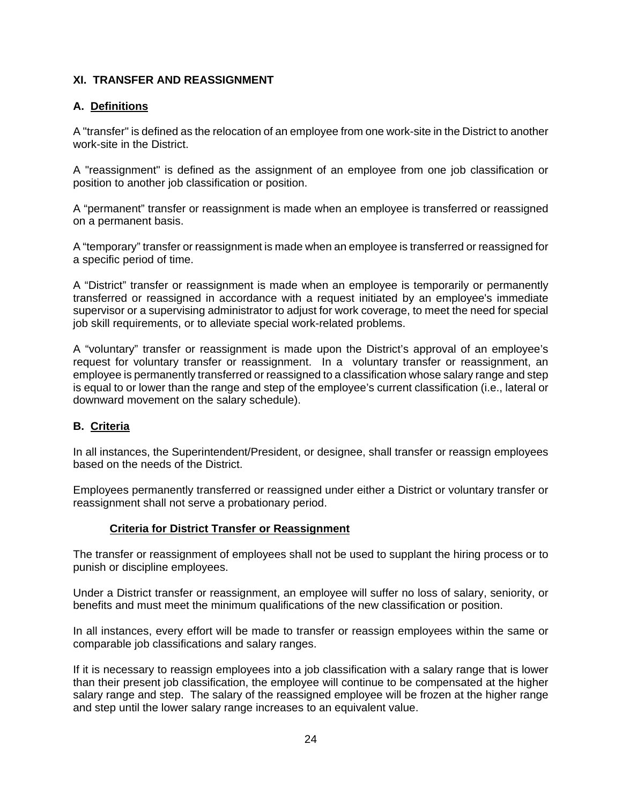# **XI. TRANSFER AND REASSIGNMENT**

# **A. Definitions**

A "transfer" is defined as the relocation of an employee from one work-site in the District to another work-site in the District.

A "reassignment" is defined as the assignment of an employee from one job classification or position to another job classification or position.

A "permanent" transfer or reassignment is made when an employee is transferred or reassigned on a permanent basis.

A "temporary" transfer or reassignment is made when an employee is transferred or reassigned for a specific period of time.

A "District" transfer or reassignment is made when an employee is temporarily or permanently transferred or reassigned in accordance with a request initiated by an employee's immediate supervisor or a supervising administrator to adjust for work coverage, to meet the need for special job skill requirements, or to alleviate special work-related problems.

A "voluntary" transfer or reassignment is made upon the District's approval of an employee's request for voluntary transfer or reassignment. In a voluntary transfer or reassignment, an employee is permanently transferred or reassigned to a classification whose salary range and step is equal to or lower than the range and step of the employee's current classification (i.e., lateral or downward movement on the salary schedule).

## **B. Criteria**

In all instances, the Superintendent/President, or designee, shall transfer or reassign employees based on the needs of the District.

Employees permanently transferred or reassigned under either a District or voluntary transfer or reassignment shall not serve a probationary period.

## **Criteria for District Transfer or Reassignment**

The transfer or reassignment of employees shall not be used to supplant the hiring process or to punish or discipline employees.

Under a District transfer or reassignment, an employee will suffer no loss of salary, seniority, or benefits and must meet the minimum qualifications of the new classification or position.

In all instances, every effort will be made to transfer or reassign employees within the same or comparable job classifications and salary ranges.

If it is necessary to reassign employees into a job classification with a salary range that is lower than their present job classification, the employee will continue to be compensated at the higher salary range and step. The salary of the reassigned employee will be frozen at the higher range and step until the lower salary range increases to an equivalent value.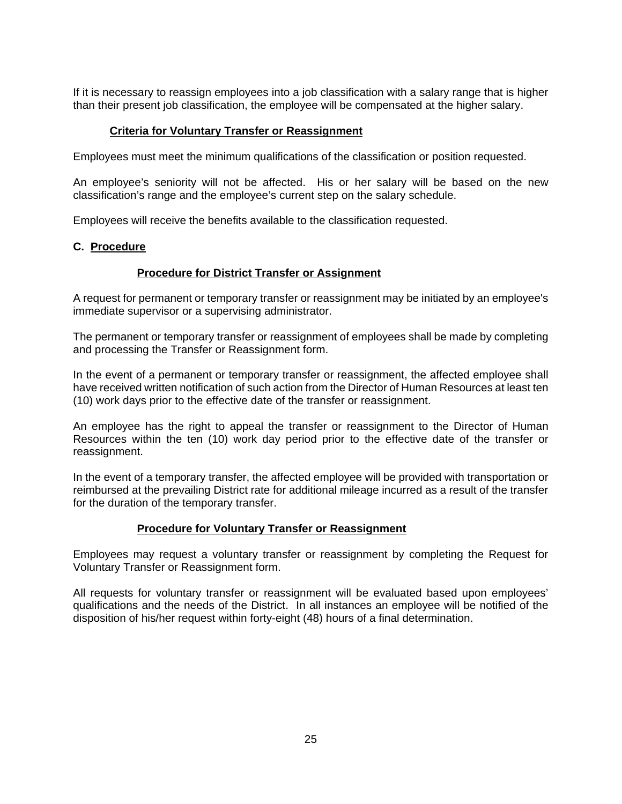If it is necessary to reassign employees into a job classification with a salary range that is higher than their present job classification, the employee will be compensated at the higher salary.

#### **Criteria for Voluntary Transfer or Reassignment**

Employees must meet the minimum qualifications of the classification or position requested.

An employee's seniority will not be affected. His or her salary will be based on the new classification's range and the employee's current step on the salary schedule.

Employees will receive the benefits available to the classification requested.

#### **C. Procedure**

#### **Procedure for District Transfer or Assignment**

A request for permanent or temporary transfer or reassignment may be initiated by an employee's immediate supervisor or a supervising administrator.

The permanent or temporary transfer or reassignment of employees shall be made by completing and processing the Transfer or Reassignment form.

In the event of a permanent or temporary transfer or reassignment, the affected employee shall have received written notification of such action from the Director of Human Resources at least ten (10) work days prior to the effective date of the transfer or reassignment.

An employee has the right to appeal the transfer or reassignment to the Director of Human Resources within the ten (10) work day period prior to the effective date of the transfer or reassignment.

In the event of a temporary transfer, the affected employee will be provided with transportation or reimbursed at the prevailing District rate for additional mileage incurred as a result of the transfer for the duration of the temporary transfer.

#### **Procedure for Voluntary Transfer or Reassignment**

Employees may request a voluntary transfer or reassignment by completing the Request for Voluntary Transfer or Reassignment form.

All requests for voluntary transfer or reassignment will be evaluated based upon employees' qualifications and the needs of the District. In all instances an employee will be notified of the disposition of his/her request within forty-eight (48) hours of a final determination.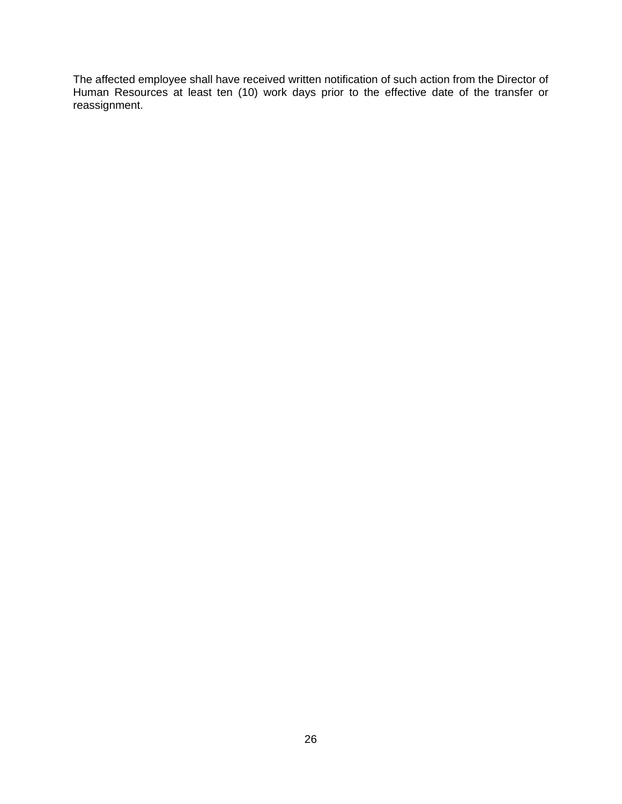The affected employee shall have received written notification of such action from the Director of Human Resources at least ten (10) work days prior to the effective date of the transfer or reassignment.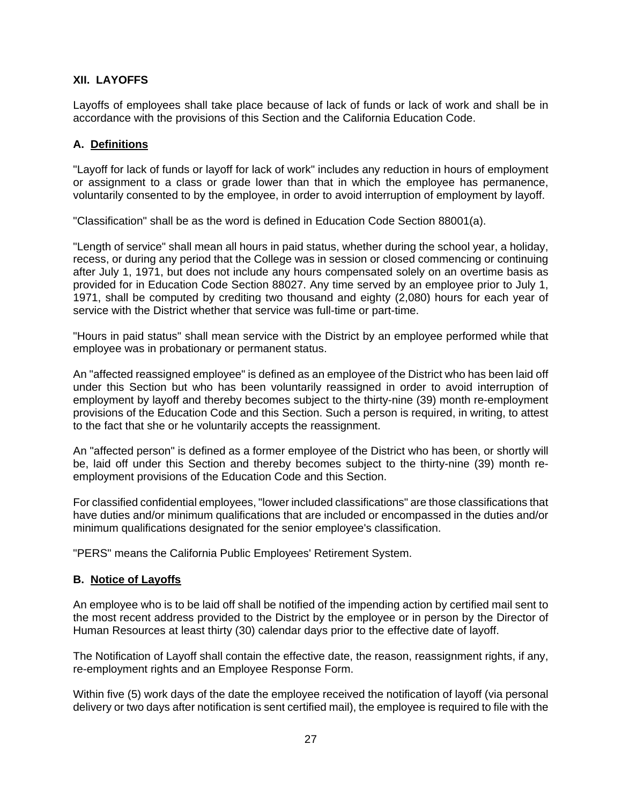# **XII. LAYOFFS**

Layoffs of employees shall take place because of lack of funds or lack of work and shall be in accordance with the provisions of this Section and the California Education Code.

#### **A. Definitions**

"Layoff for lack of funds or layoff for lack of work" includes any reduction in hours of employment or assignment to a class or grade lower than that in which the employee has permanence, voluntarily consented to by the employee, in order to avoid interruption of employment by layoff.

"Classification" shall be as the word is defined in Education Code Section 88001(a).

"Length of service" shall mean all hours in paid status, whether during the school year, a holiday, recess, or during any period that the College was in session or closed commencing or continuing after July 1, 1971, but does not include any hours compensated solely on an overtime basis as provided for in Education Code Section 88027. Any time served by an employee prior to July 1, 1971, shall be computed by crediting two thousand and eighty (2,080) hours for each year of service with the District whether that service was full-time or part-time.

"Hours in paid status" shall mean service with the District by an employee performed while that employee was in probationary or permanent status.

An "affected reassigned employee" is defined as an employee of the District who has been laid off under this Section but who has been voluntarily reassigned in order to avoid interruption of employment by layoff and thereby becomes subject to the thirty-nine (39) month re-employment provisions of the Education Code and this Section. Such a person is required, in writing, to attest to the fact that she or he voluntarily accepts the reassignment.

An "affected person" is defined as a former employee of the District who has been, or shortly will be, laid off under this Section and thereby becomes subject to the thirty-nine (39) month reemployment provisions of the Education Code and this Section.

For classified confidential employees, "lower included classifications" are those classifications that have duties and/or minimum qualifications that are included or encompassed in the duties and/or minimum qualifications designated for the senior employee's classification.

"PERS" means the California Public Employees' Retirement System.

#### **B. Notice of Layoffs**

An employee who is to be laid off shall be notified of the impending action by certified mail sent to the most recent address provided to the District by the employee or in person by the Director of Human Resources at least thirty (30) calendar days prior to the effective date of layoff.

The Notification of Layoff shall contain the effective date, the reason, reassignment rights, if any, re-employment rights and an Employee Response Form.

Within five (5) work days of the date the employee received the notification of layoff (via personal delivery or two days after notification is sent certified mail), the employee is required to file with the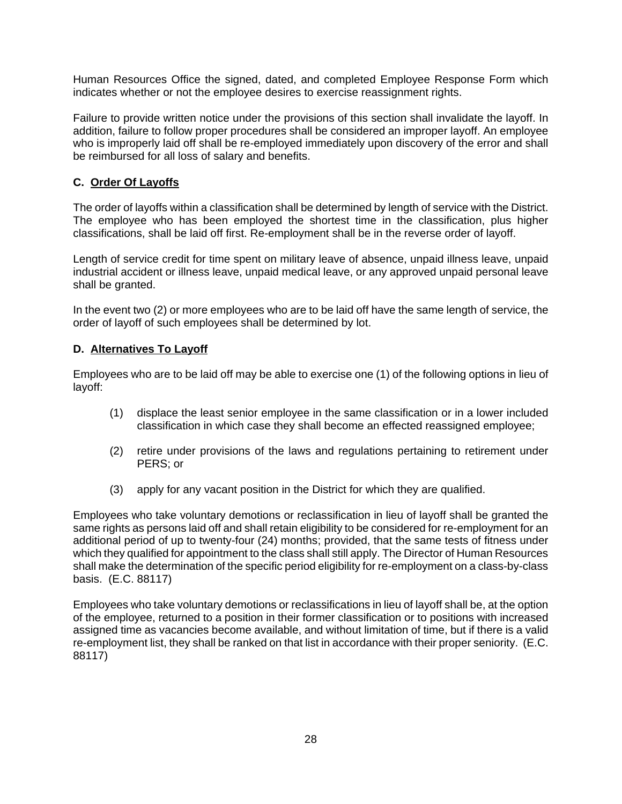Human Resources Office the signed, dated, and completed Employee Response Form which indicates whether or not the employee desires to exercise reassignment rights.

Failure to provide written notice under the provisions of this section shall invalidate the layoff. In addition, failure to follow proper procedures shall be considered an improper layoff. An employee who is improperly laid off shall be re-employed immediately upon discovery of the error and shall be reimbursed for all loss of salary and benefits.

# **C. Order Of Layoffs**

The order of layoffs within a classification shall be determined by length of service with the District. The employee who has been employed the shortest time in the classification, plus higher classifications, shall be laid off first. Re-employment shall be in the reverse order of layoff.

Length of service credit for time spent on military leave of absence, unpaid illness leave, unpaid industrial accident or illness leave, unpaid medical leave, or any approved unpaid personal leave shall be granted.

In the event two (2) or more employees who are to be laid off have the same length of service, the order of layoff of such employees shall be determined by lot.

## **D. Alternatives To Layoff**

Employees who are to be laid off may be able to exercise one (1) of the following options in lieu of layoff:

- (1) displace the least senior employee in the same classification or in a lower included classification in which case they shall become an effected reassigned employee;
- (2) retire under provisions of the laws and regulations pertaining to retirement under PERS; or
- (3) apply for any vacant position in the District for which they are qualified.

Employees who take voluntary demotions or reclassification in lieu of layoff shall be granted the same rights as persons laid off and shall retain eligibility to be considered for re-employment for an additional period of up to twenty-four (24) months; provided, that the same tests of fitness under which they qualified for appointment to the class shall still apply. The Director of Human Resources shall make the determination of the specific period eligibility for re-employment on a class-by-class basis. (E.C. 88117)

Employees who take voluntary demotions or reclassifications in lieu of layoff shall be, at the option of the employee, returned to a position in their former classification or to positions with increased assigned time as vacancies become available, and without limitation of time, but if there is a valid re-employment list, they shall be ranked on that list in accordance with their proper seniority. (E.C. 88117)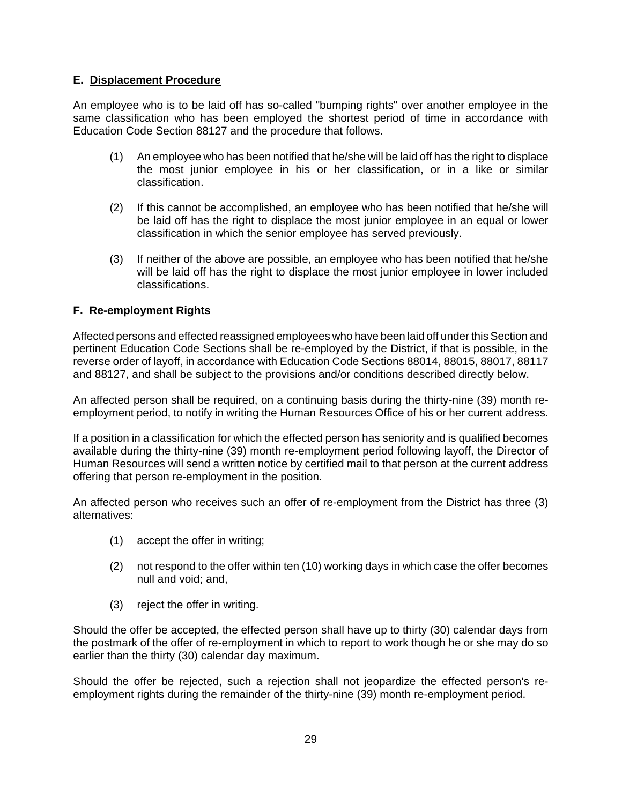# **E. Displacement Procedure**

An employee who is to be laid off has so-called "bumping rights" over another employee in the same classification who has been employed the shortest period of time in accordance with Education Code Section 88127 and the procedure that follows.

- (1) An employee who has been notified that he/she will be laid off has the right to displace the most junior employee in his or her classification, or in a like or similar classification.
- (2) If this cannot be accomplished, an employee who has been notified that he/she will be laid off has the right to displace the most junior employee in an equal or lower classification in which the senior employee has served previously.
- (3) If neither of the above are possible, an employee who has been notified that he/she will be laid off has the right to displace the most junior employee in lower included classifications.

# **F. Re-employment Rights**

Affected persons and effected reassigned employees who have been laid off under this Section and pertinent Education Code Sections shall be re-employed by the District, if that is possible, in the reverse order of layoff, in accordance with Education Code Sections 88014, 88015, 88017, 88117 and 88127, and shall be subject to the provisions and/or conditions described directly below.

An affected person shall be required, on a continuing basis during the thirty-nine (39) month reemployment period, to notify in writing the Human Resources Office of his or her current address.

If a position in a classification for which the effected person has seniority and is qualified becomes available during the thirty-nine (39) month re-employment period following layoff, the Director of Human Resources will send a written notice by certified mail to that person at the current address offering that person re-employment in the position.

An affected person who receives such an offer of re-employment from the District has three (3) alternatives:

- (1) accept the offer in writing;
- (2) not respond to the offer within ten (10) working days in which case the offer becomes null and void; and,
- (3) reject the offer in writing.

Should the offer be accepted, the effected person shall have up to thirty (30) calendar days from the postmark of the offer of re-employment in which to report to work though he or she may do so earlier than the thirty (30) calendar day maximum.

Should the offer be rejected, such a rejection shall not jeopardize the effected person's reemployment rights during the remainder of the thirty-nine (39) month re-employment period.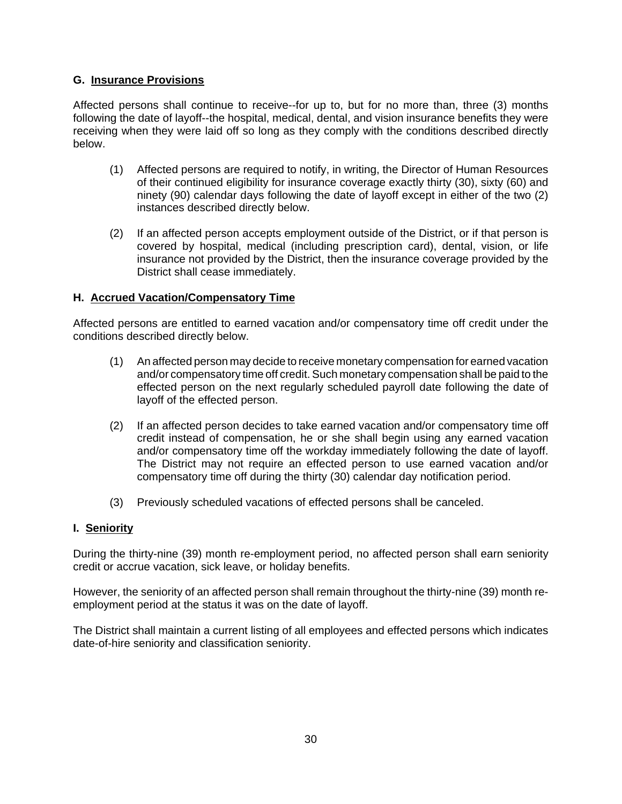## **G. Insurance Provisions**

Affected persons shall continue to receive--for up to, but for no more than, three (3) months following the date of layoff--the hospital, medical, dental, and vision insurance benefits they were receiving when they were laid off so long as they comply with the conditions described directly below.

- (1) Affected persons are required to notify, in writing, the Director of Human Resources of their continued eligibility for insurance coverage exactly thirty (30), sixty (60) and ninety (90) calendar days following the date of layoff except in either of the two (2) instances described directly below.
- (2) If an affected person accepts employment outside of the District, or if that person is covered by hospital, medical (including prescription card), dental, vision, or life insurance not provided by the District, then the insurance coverage provided by the District shall cease immediately.

## **H. Accrued Vacation/Compensatory Time**

Affected persons are entitled to earned vacation and/or compensatory time off credit under the conditions described directly below.

- (1) An affected person may decide to receive monetary compensation for earned vacation and/or compensatory time off credit. Such monetary compensation shall be paid to the effected person on the next regularly scheduled payroll date following the date of layoff of the effected person.
- (2) If an affected person decides to take earned vacation and/or compensatory time off credit instead of compensation, he or she shall begin using any earned vacation and/or compensatory time off the workday immediately following the date of layoff. The District may not require an effected person to use earned vacation and/or compensatory time off during the thirty (30) calendar day notification period.
- (3) Previously scheduled vacations of effected persons shall be canceled.

#### **I. Seniority**

During the thirty-nine (39) month re-employment period, no affected person shall earn seniority credit or accrue vacation, sick leave, or holiday benefits.

However, the seniority of an affected person shall remain throughout the thirty-nine (39) month reemployment period at the status it was on the date of layoff.

The District shall maintain a current listing of all employees and effected persons which indicates date-of-hire seniority and classification seniority.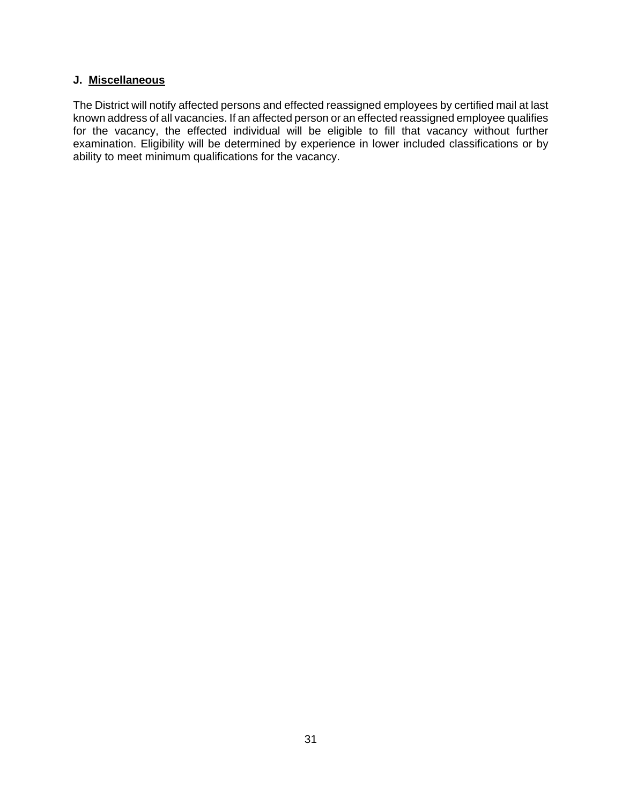#### **J. Miscellaneous**

The District will notify affected persons and effected reassigned employees by certified mail at last known address of all vacancies. If an affected person or an effected reassigned employee qualifies for the vacancy, the effected individual will be eligible to fill that vacancy without further examination. Eligibility will be determined by experience in lower included classifications or by ability to meet minimum qualifications for the vacancy.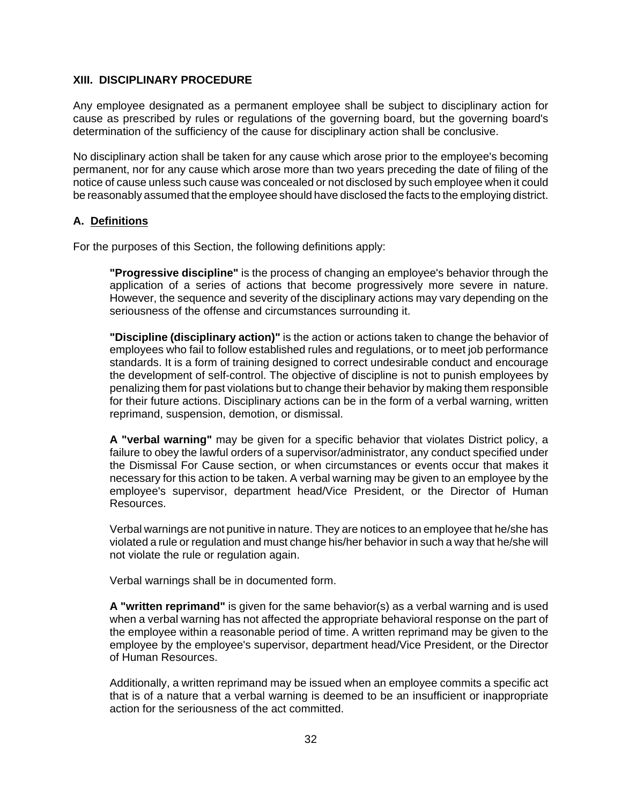#### **XIII. DISCIPLINARY PROCEDURE**

Any employee designated as a permanent employee shall be subject to disciplinary action for cause as prescribed by rules or regulations of the governing board, but the governing board's determination of the sufficiency of the cause for disciplinary action shall be conclusive.

No disciplinary action shall be taken for any cause which arose prior to the employee's becoming permanent, nor for any cause which arose more than two years preceding the date of filing of the notice of cause unless such cause was concealed or not disclosed by such employee when it could be reasonably assumed that the employee should have disclosed the facts to the employing district.

#### **A. Definitions**

For the purposes of this Section, the following definitions apply:

**"Progressive discipline"** is the process of changing an employee's behavior through the application of a series of actions that become progressively more severe in nature. However, the sequence and severity of the disciplinary actions may vary depending on the seriousness of the offense and circumstances surrounding it.

**"Discipline (disciplinary action)"** is the action or actions taken to change the behavior of employees who fail to follow established rules and regulations, or to meet job performance standards. It is a form of training designed to correct undesirable conduct and encourage the development of self-control. The objective of discipline is not to punish employees by penalizing them for past violations but to change their behavior by making them responsible for their future actions. Disciplinary actions can be in the form of a verbal warning, written reprimand, suspension, demotion, or dismissal.

**A "verbal warning"** may be given for a specific behavior that violates District policy, a failure to obey the lawful orders of a supervisor/administrator, any conduct specified under the Dismissal For Cause section, or when circumstances or events occur that makes it necessary for this action to be taken. A verbal warning may be given to an employee by the employee's supervisor, department head/Vice President, or the Director of Human Resources.

Verbal warnings are not punitive in nature. They are notices to an employee that he/she has violated a rule or regulation and must change his/her behavior in such a way that he/she will not violate the rule or regulation again.

Verbal warnings shall be in documented form.

**A "written reprimand"** is given for the same behavior(s) as a verbal warning and is used when a verbal warning has not affected the appropriate behavioral response on the part of the employee within a reasonable period of time. A written reprimand may be given to the employee by the employee's supervisor, department head/Vice President, or the Director of Human Resources.

Additionally, a written reprimand may be issued when an employee commits a specific act that is of a nature that a verbal warning is deemed to be an insufficient or inappropriate action for the seriousness of the act committed.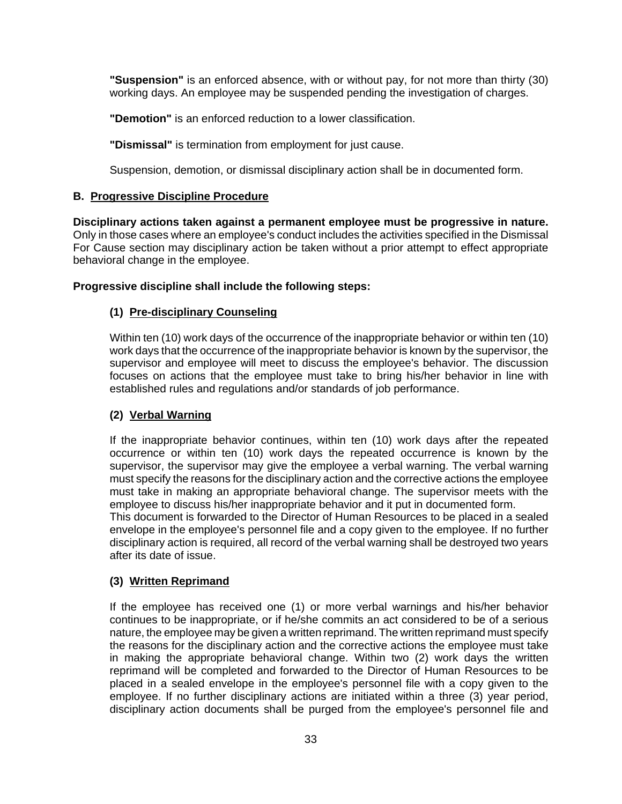**"Suspension"** is an enforced absence, with or without pay, for not more than thirty (30) working days. An employee may be suspended pending the investigation of charges.

**"Demotion"** is an enforced reduction to a lower classification.

**"Dismissal"** is termination from employment for just cause.

Suspension, demotion, or dismissal disciplinary action shall be in documented form.

#### **B. Progressive Discipline Procedure**

**Disciplinary actions taken against a permanent employee must be progressive in nature.** Only in those cases where an employee's conduct includes the activities specified in the Dismissal For Cause section may disciplinary action be taken without a prior attempt to effect appropriate behavioral change in the employee.

#### **Progressive discipline shall include the following steps:**

## **(1) Pre-disciplinary Counseling**

Within ten (10) work days of the occurrence of the inappropriate behavior or within ten (10) work days that the occurrence of the inappropriate behavior is known by the supervisor, the supervisor and employee will meet to discuss the employee's behavior. The discussion focuses on actions that the employee must take to bring his/her behavior in line with established rules and regulations and/or standards of job performance.

## **(2) Verbal Warning**

If the inappropriate behavior continues, within ten (10) work days after the repeated occurrence or within ten (10) work days the repeated occurrence is known by the supervisor, the supervisor may give the employee a verbal warning. The verbal warning must specify the reasons for the disciplinary action and the corrective actions the employee must take in making an appropriate behavioral change. The supervisor meets with the employee to discuss his/her inappropriate behavior and it put in documented form.

This document is forwarded to the Director of Human Resources to be placed in a sealed envelope in the employee's personnel file and a copy given to the employee. If no further disciplinary action is required, all record of the verbal warning shall be destroyed two years after its date of issue.

## **(3) Written Reprimand**

If the employee has received one (1) or more verbal warnings and his/her behavior continues to be inappropriate, or if he/she commits an act considered to be of a serious nature, the employee may be given a written reprimand. The written reprimand must specify the reasons for the disciplinary action and the corrective actions the employee must take in making the appropriate behavioral change. Within two (2) work days the written reprimand will be completed and forwarded to the Director of Human Resources to be placed in a sealed envelope in the employee's personnel file with a copy given to the employee. If no further disciplinary actions are initiated within a three (3) year period, disciplinary action documents shall be purged from the employee's personnel file and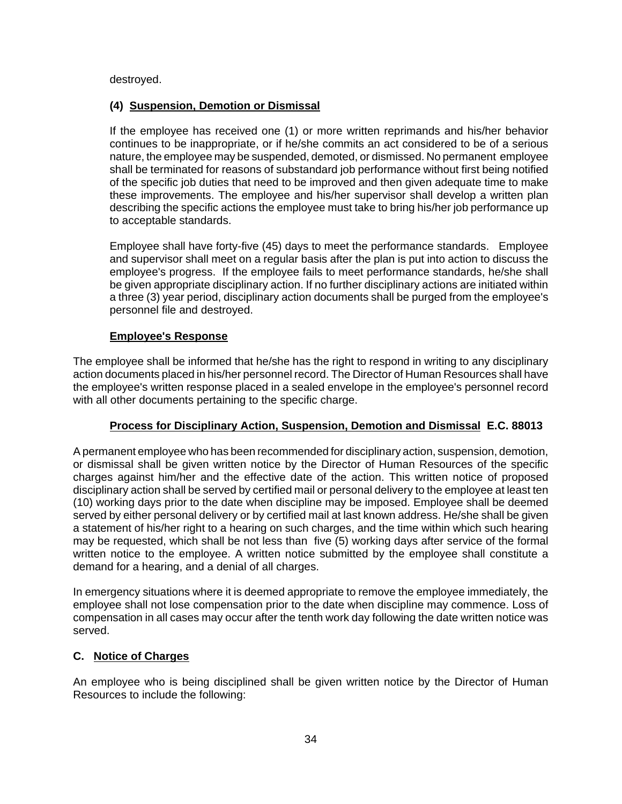destroyed.

#### **(4) Suspension, Demotion or Dismissal**

If the employee has received one (1) or more written reprimands and his/her behavior continues to be inappropriate, or if he/she commits an act considered to be of a serious nature, the employee may be suspended, demoted, or dismissed. No permanent employee shall be terminated for reasons of substandard job performance without first being notified of the specific job duties that need to be improved and then given adequate time to make these improvements. The employee and his/her supervisor shall develop a written plan describing the specific actions the employee must take to bring his/her job performance up to acceptable standards.

Employee shall have forty-five (45) days to meet the performance standards. Employee and supervisor shall meet on a regular basis after the plan is put into action to discuss the employee's progress. If the employee fails to meet performance standards, he/she shall be given appropriate disciplinary action. If no further disciplinary actions are initiated within a three (3) year period, disciplinary action documents shall be purged from the employee's personnel file and destroyed.

## **Employee's Response**

The employee shall be informed that he/she has the right to respond in writing to any disciplinary action documents placed in his/her personnel record. The Director of Human Resources shall have the employee's written response placed in a sealed envelope in the employee's personnel record with all other documents pertaining to the specific charge.

## **Process for Disciplinary Action, Suspension, Demotion and Dismissal E.C. 88013**

A permanent employee who has been recommended for disciplinary action, suspension, demotion, or dismissal shall be given written notice by the Director of Human Resources of the specific charges against him/her and the effective date of the action. This written notice of proposed disciplinary action shall be served by certified mail or personal delivery to the employee at least ten (10) working days prior to the date when discipline may be imposed. Employee shall be deemed served by either personal delivery or by certified mail at last known address. He/she shall be given a statement of his/her right to a hearing on such charges, and the time within which such hearing may be requested, which shall be not less than five (5) working days after service of the formal written notice to the employee. A written notice submitted by the employee shall constitute a demand for a hearing, and a denial of all charges.

In emergency situations where it is deemed appropriate to remove the employee immediately, the employee shall not lose compensation prior to the date when discipline may commence. Loss of compensation in all cases may occur after the tenth work day following the date written notice was served.

## **C. Notice of Charges**

An employee who is being disciplined shall be given written notice by the Director of Human Resources to include the following: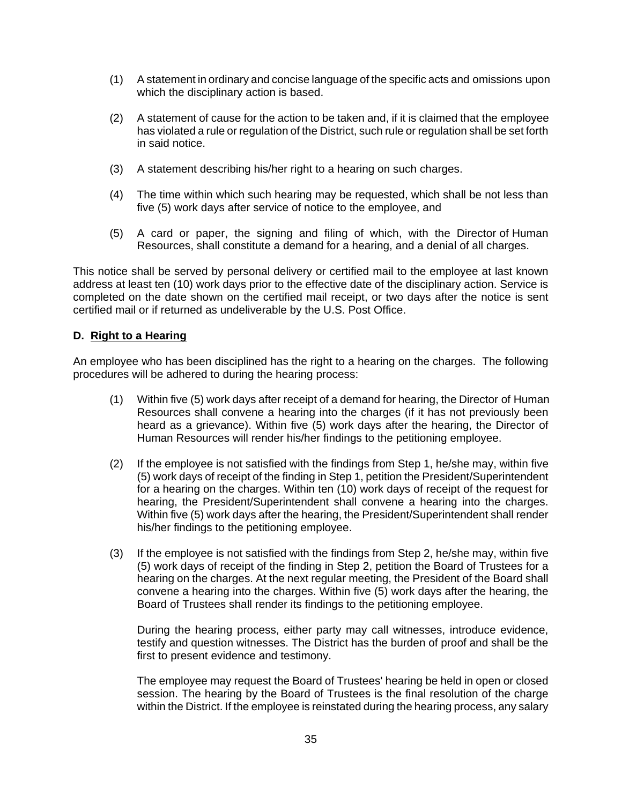- (1) A statement in ordinary and concise language of the specific acts and omissions upon which the disciplinary action is based.
- (2) A statement of cause for the action to be taken and, if it is claimed that the employee has violated a rule or regulation of the District, such rule or regulation shall be set forth in said notice.
- (3) A statement describing his/her right to a hearing on such charges.
- (4) The time within which such hearing may be requested, which shall be not less than five (5) work days after service of notice to the employee, and
- (5) A card or paper, the signing and filing of which, with the Director of Human Resources, shall constitute a demand for a hearing, and a denial of all charges.

This notice shall be served by personal delivery or certified mail to the employee at last known address at least ten (10) work days prior to the effective date of the disciplinary action. Service is completed on the date shown on the certified mail receipt, or two days after the notice is sent certified mail or if returned as undeliverable by the U.S. Post Office.

#### **D. Right to a Hearing**

An employee who has been disciplined has the right to a hearing on the charges. The following procedures will be adhered to during the hearing process:

- (1) Within five (5) work days after receipt of a demand for hearing, the Director of Human Resources shall convene a hearing into the charges (if it has not previously been heard as a grievance). Within five (5) work days after the hearing, the Director of Human Resources will render his/her findings to the petitioning employee.
- (2) If the employee is not satisfied with the findings from Step 1, he/she may, within five (5) work days of receipt of the finding in Step 1, petition the President/Superintendent for a hearing on the charges. Within ten (10) work days of receipt of the request for hearing, the President/Superintendent shall convene a hearing into the charges. Within five (5) work days after the hearing, the President/Superintendent shall render his/her findings to the petitioning employee.
- (3) If the employee is not satisfied with the findings from Step 2, he/she may, within five (5) work days of receipt of the finding in Step 2, petition the Board of Trustees for a hearing on the charges. At the next regular meeting, the President of the Board shall convene a hearing into the charges. Within five (5) work days after the hearing, the Board of Trustees shall render its findings to the petitioning employee.

During the hearing process, either party may call witnesses, introduce evidence, testify and question witnesses. The District has the burden of proof and shall be the first to present evidence and testimony.

The employee may request the Board of Trustees' hearing be held in open or closed session. The hearing by the Board of Trustees is the final resolution of the charge within the District. If the employee is reinstated during the hearing process, any salary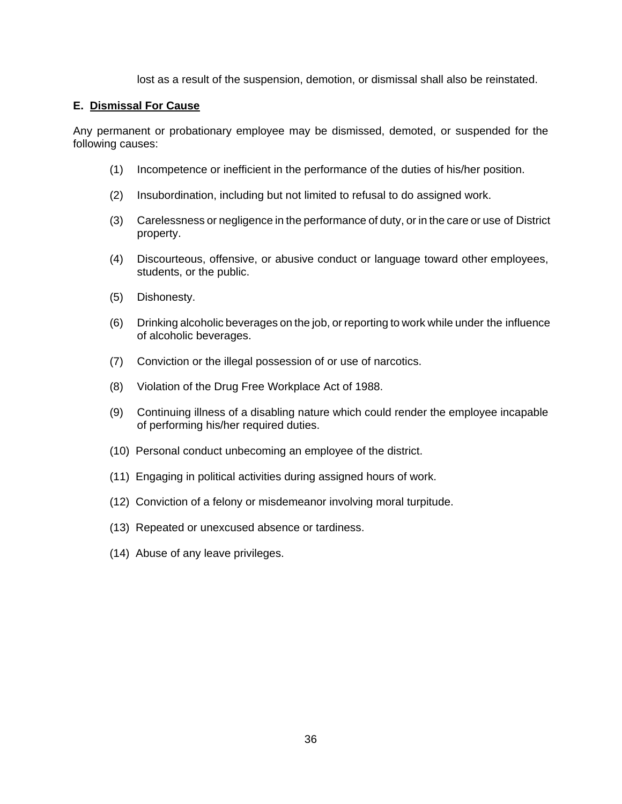lost as a result of the suspension, demotion, or dismissal shall also be reinstated.

#### **E. Dismissal For Cause**

Any permanent or probationary employee may be dismissed, demoted, or suspended for the following causes:

- (1) Incompetence or inefficient in the performance of the duties of his/her position.
- (2) Insubordination, including but not limited to refusal to do assigned work.
- (3) Carelessness or negligence in the performance of duty, or in the care or use of District property.
- (4) Discourteous, offensive, or abusive conduct or language toward other employees, students, or the public.
- (5) Dishonesty.
- (6) Drinking alcoholic beverages on the job, or reporting to work while under the influence of alcoholic beverages.
- (7) Conviction or the illegal possession of or use of narcotics.
- (8) Violation of the Drug Free Workplace Act of 1988.
- (9) Continuing illness of a disabling nature which could render the employee incapable of performing his/her required duties.
- (10) Personal conduct unbecoming an employee of the district.
- (11) Engaging in political activities during assigned hours of work.
- (12) Conviction of a felony or misdemeanor involving moral turpitude.
- (13) Repeated or unexcused absence or tardiness.
- (14) Abuse of any leave privileges.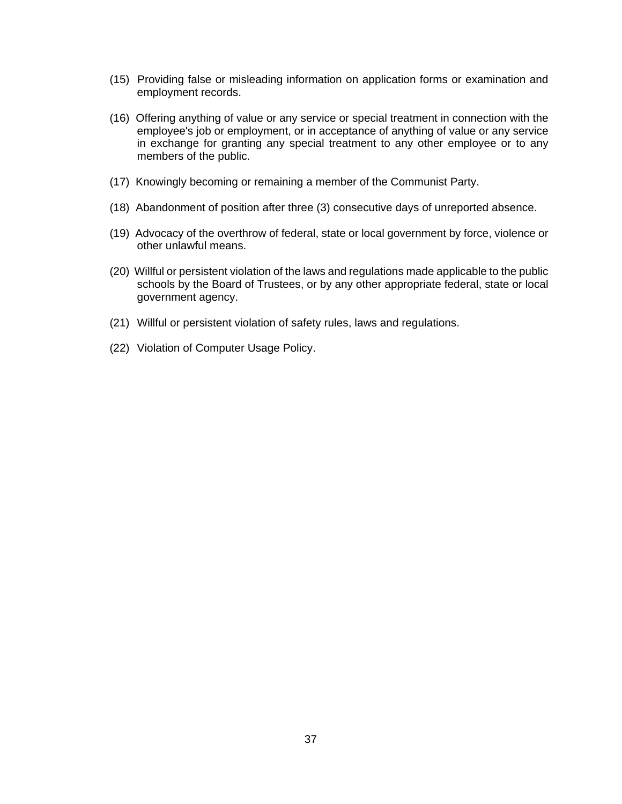- (15) Providing false or misleading information on application forms or examination and employment records.
- (16) Offering anything of value or any service or special treatment in connection with the employee's job or employment, or in acceptance of anything of value or any service in exchange for granting any special treatment to any other employee or to any members of the public.
- (17) Knowingly becoming or remaining a member of the Communist Party.
- (18) Abandonment of position after three (3) consecutive days of unreported absence.
- (19) Advocacy of the overthrow of federal, state or local government by force, violence or other unlawful means.
- (20) Willful or persistent violation of the laws and regulations made applicable to the public schools by the Board of Trustees, or by any other appropriate federal, state or local government agency.
- (21) Willful or persistent violation of safety rules, laws and regulations.
- (22) Violation of Computer Usage Policy.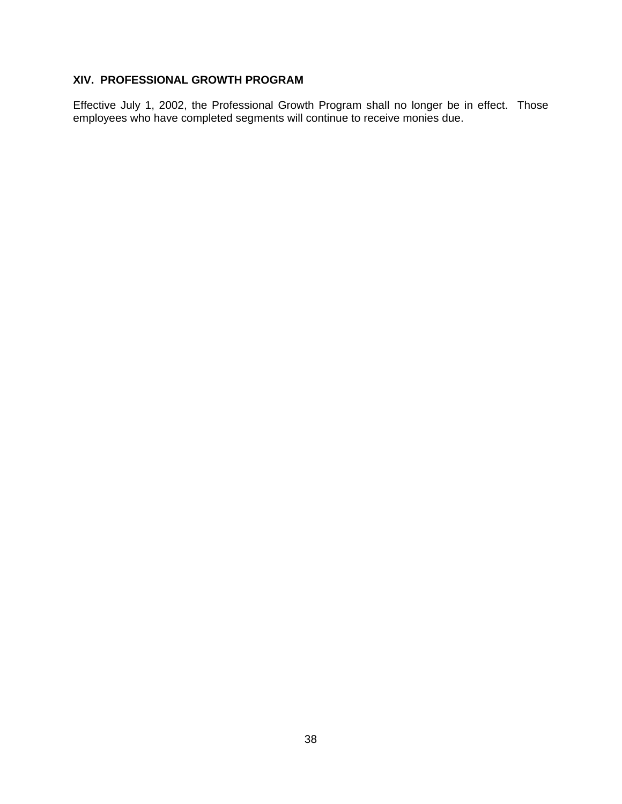# **XIV. PROFESSIONAL GROWTH PROGRAM**

Effective July 1, 2002, the Professional Growth Program shall no longer be in effect. Those employees who have completed segments will continue to receive monies due.